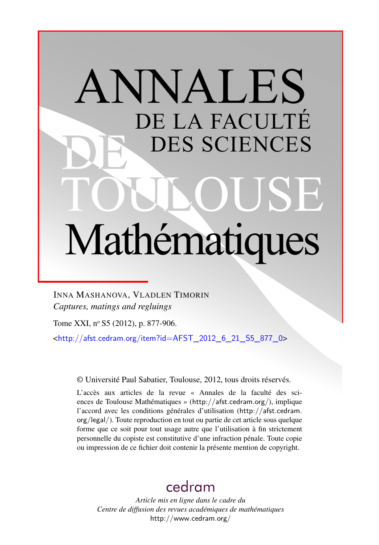# ANNALES DE LA FACULTÉ DES SCIENCES Mathématiques

INNA MASHANOVA, VLADLEN TIMORIN *Captures, matings and regluings*

Tome XXI, nº S5 (2012), p. 877-906.

 $\frac{\text{th}}{\text{t}}/$ /afst.cedram.org/item?id=AFST\_2012\_6\_21\_S5\_877\_0>

© Université Paul Sabatier, Toulouse, 2012, tous droits réservés.

L'accès aux articles de la revue « Annales de la faculté des sciences de Toulouse Mathématiques » (<http://afst.cedram.org/>), implique l'accord avec les conditions générales d'utilisation ([http://afst.cedram.](http://afst.cedram.org/legal/) [org/legal/](http://afst.cedram.org/legal/)). Toute reproduction en tout ou partie de cet article sous quelque forme que ce soit pour tout usage autre que l'utilisation à fin strictement personnelle du copiste est constitutive d'une infraction pénale. Toute copie ou impression de ce fichier doit contenir la présente mention de copyright.

## [cedram](http://www.cedram.org/)

*Article mis en ligne dans le cadre du Centre de diffusion des revues académiques de mathématiques* <http://www.cedram.org/>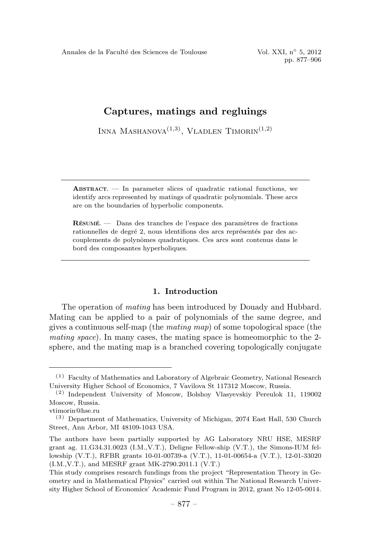Annales de la Faculté des Sciences de Toulouse Vol. XXI, n° 5, 2012

pp. 877–906

### Captures, matings and regluings

INNA MASHANOVA $(1,3)$ , VLADLEN TIMORIN $(1,2)$ 

ABSTRACT. — In parameter slices of quadratic rational functions, we identify arcs represented by matings of quadratic polynomials. These arcs are on the boundaries of hyperbolic components.

RÉSUMÉ. — Dans des tranches de l'espace des paramètres de fractions rationnelles de degré 2, nous identifions des arcs représentés par des accouplements de polynômes quadratiques. Ces arcs sont contenus dans le bord des composantes hyperboliques.

#### 1. Introduction

The operation of mating has been introduced by Douady and Hubbard. Mating can be applied to a pair of polynomials of the same degree, and gives a continuous self-map (the *mating map*) of some topological space (the mating space). In many cases, the mating space is homeomorphic to the 2 sphere, and the mating map is a branched covering topologically conjugate

<sup>(1)</sup> Faculty of Mathematics and Laboratory of Algebraic Geometry, National Research University Higher School of Economics, 7 Vavilova St 117312 Moscow, Russia.

<sup>(2)</sup> Independent University of Moscow, Bolshoy Vlasyevskiy Pereulok 11, 119002 Moscow, Russia.

vtimorin@hse.ru

<sup>(3)</sup> Department of Mathematics, University of Michigan, 2074 East Hall, 530 Church Street, Ann Arbor, MI 48109-1043 USA.

The authors have been partially supported by AG Laboratory NRU HSE, MESRF grant ag. 11.G34.31.0023 (I.M.,V.T.), Deligne Fellow-ship (V.T.), the Simons-IUM fellowship (V.T.), RFBR grants 10-01-00739-a (V.T.), 11-01-00654-a (V.T.), 12-01-33020 (I.M.,V.T.), and MESRF grant MK-2790.2011.1 (V.T.)

This study comprises research fundings from the project "Representation Theory in Geometry and in Mathematical Physics" carried out within The National Research University Higher School of Economics' Academic Fund Program in 2012, grant No 12-05-0014.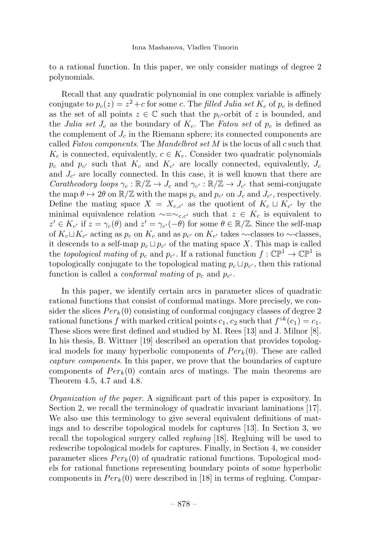to a rational function. In this paper, we only consider matings of degree 2 polynomials.

Recall that any quadratic polynomial in one complex variable is affinely conjugate to  $p_c(z) = z^2+c$  for some c. The filled Julia set  $K_c$  of  $p_c$  is defined as the set of all points  $z \in \mathbb{C}$  such that the  $p_c$ -orbit of z is bounded, and the Julia set  $J_c$  as the boundary of  $K_c$ . The Fatou set of  $p_c$  is defined as the complement of  $J_c$  in the Riemann sphere; its connected components are called Fatou components. The Mandelbrot set  $M$  is the locus of all  $c$  such that  $K_c$  is connected, equivalently,  $c \in K_c$ . Consider two quadratic polynomials  $p_c$  and  $p_{c'}$  such that  $K_c$  and  $K_{c'}$  are locally connected, equivalently,  $J_c$ and  $J_{c'}$  are locally connected. In this case, it is well known that there are *Caratheodory loops*  $\gamma_c : \mathbb{R}/\mathbb{Z} \to J_c$  and  $\gamma_{c'} : \mathbb{R}/\mathbb{Z} \to J_{c'}$  that semi-conjugate the map  $\theta \mapsto 2\theta$  on  $\mathbb{R}/\mathbb{Z}$  with the maps  $p_c$  and  $p_{c'}$  on  $J_c$  and  $J_{c'}$ , respectively. Define the mating space  $X = X_{c,c'}$  as the quotient of  $K_c \sqcup K_{c'}$  by the minimal equivalence relation  $\sim=\sim_{c,c'}$  such that  $z \in K_c$  is equivalent to  $z' \in K_{c'}$  if  $z = \gamma_c(\theta)$  and  $z' = \gamma_{c'}(-\theta)$  for some  $\theta \in \mathbb{R}/\mathbb{Z}$ . Since the self-map of  $K_c\sqcup K_{c'}$  acting as  $p_c$  on  $K_c$  and as  $p_{c'}$  on  $K_{c'}$  takes ∼-classes to ∼-classes, it descends to a self-map  $p_c \sqcup p_{c'}$  of the mating space X. This map is called the topological mating of  $p_c$  and  $p_{c'}$ . If a rational function  $f: \mathbb{CP}^1 \to \mathbb{CP}^1$  is topologically conjugate to the topological mating  $p_c \sqcup p_{c'}$ , then this rational function is called a *conformal mating* of  $p_c$  and  $p_{c'}$ .

In this paper, we identify certain arcs in parameter slices of quadratic rational functions that consist of conformal matings. More precisely, we consider the slices  $Per_k(0)$  consisting of conformal conjugacy classes of degree 2 rational functions f with marked critical points  $c_1$ ,  $c_2$  such that  $f^{\circ k}(c_1) = c_1$ . These slices were first defined and studied by M. Rees [13] and J. Milnor [8]. In his thesis, B. Wittner [19] described an operation that provides topological models for many hyperbolic components of  $Per_k(0)$ . These are called capture components. In this paper, we prove that the boundaries of capture components of  $Per_k(0)$  contain arcs of matings. The main theorems are Theorem 4.5, 4.7 and 4.8.

Organization of the paper. A significant part of this paper is expository. In Section 2, we recall the terminology of quadratic invariant laminations [17]. We also use this terminology to give several equivalent definitions of matings and to describe topological models for captures [13]. In Section 3, we recall the topological surgery called *regluing* [18]. Regluing will be used to redescribe topological models for captures. Finally, in Section 4, we consider parameter slices  $Per_k(0)$  of quadratic rational functions. Topological models for rational functions representing boundary points of some hyperbolic components in  $Per_k(0)$  were described in [18] in terms of regluing. Compar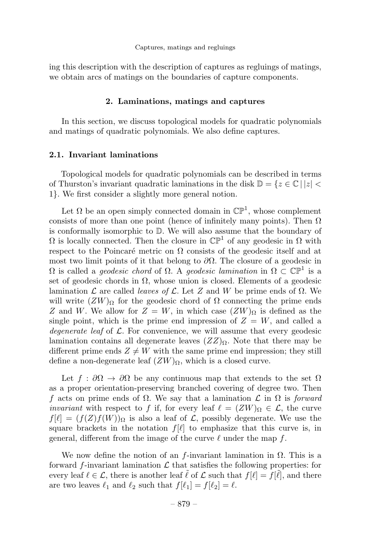ing this description with the description of captures as regluings of matings, we obtain arcs of matings on the boundaries of capture components.

#### 2. Laminations, matings and captures

In this section, we discuss topological models for quadratic polynomials and matings of quadratic polynomials. We also define captures.

#### 2.1. Invariant laminations

Topological models for quadratic polynomials can be described in terms of Thurston's invariant quadratic laminations in the disk  $\mathbb{D} = \{z \in \mathbb{C} \mid |z| < \infty \}$ 1}. We first consider a slightly more general notion.

Let  $\Omega$  be an open simply connected domain in  $\mathbb{CP}^1$ , whose complement consists of more than one point (hence of infinitely many points). Then  $\Omega$ is conformally isomorphic to D. We will also assume that the boundary of  $\Omega$  is locally connected. Then the closure in  $\mathbb{CP}^1$  of any geodesic in  $\Omega$  with respect to the Poincaré metric on  $\Omega$  consists of the geodesic itself and at most two limit points of it that belong to  $\partial\Omega$ . The closure of a geodesic in  $Ω$  is called a *geodesic chord* of  $Ω$ . A *geodesic lamination* in  $Ω ⊂ ℂP<sup>1</sup>$  is a set of geodesic chords in  $\Omega$ , whose union is closed. Elements of a geodesic lamination  $\mathcal L$  are called *leaves of*  $\mathcal L$ . Let Z and W be prime ends of  $\Omega$ . We will write  $(ZW)_{\Omega}$  for the geodesic chord of  $\Omega$  connecting the prime ends Z and W. We allow for  $Z = W$ , in which case  $(ZW)_{\Omega}$  is defined as the single point, which is the prime end impression of  $Z = W$ , and called a degenerate leaf of  $\mathcal{L}$ . For convenience, we will assume that every geodesic lamination contains all degenerate leaves  $(ZZ)_{\Omega}$ . Note that there may be different prime ends  $Z \neq W$  with the same prime end impression; they still define a non-degenerate leaf  $(ZW)_{\Omega}$ , which is a closed curve.

Let  $f : \partial\Omega \to \partial\Omega$  be any continuous map that extends to the set  $\Omega$ as a proper orientation-preserving branched covering of degree two. Then f acts on prime ends of  $\Omega$ . We say that a lamination  $\mathcal L$  in  $\Omega$  is forward *invariant* with respect to f if, for every leaf  $\ell = (ZW)_{\Omega} \in \mathcal{L}$ , the curve  $f[\ell]=(f(Z)f(W))_{\Omega}$  is also a leaf of  $\mathcal L$ , possibly degenerate. We use the square brackets in the notation  $f[\ell]$  to emphasize that this curve is, in general, different from the image of the curve  $\ell$  under the map f.

We now define the notion of an f-invariant lamination in  $\Omega$ . This is a forward f-invariant lamination  $\mathcal L$  that satisfies the following properties: for every leaf  $\ell \in \mathcal{L}$ , there is another leaf  $\ell$  of  $\mathcal L$  such that  $f[\ell] = f[\ell]$ , and there are two leaves  $\ell_1$  and  $\ell_2$  such that  $f[\ell_1] = f[\ell_2] = \ell$ .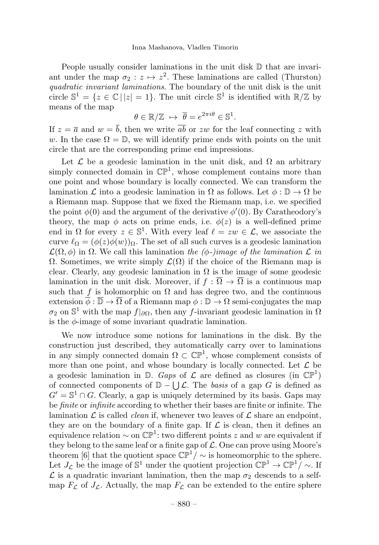People usually consider laminations in the unit disk  $\mathbb D$  that are invariant under the map  $\sigma_2 : z \mapsto z^2$ . These laminations are called (Thurston) quadratic invariant laminations. The boundary of the unit disk is the unit circle  $\mathbb{S}^1 = \{z \in \mathbb{C} \mid |z| = 1\}$ . The unit circle  $\mathbb{S}^1$  is identified with  $\mathbb{R}/\mathbb{Z}$  by means of the map

$$
\theta \in \mathbb{R}/\mathbb{Z} \ \mapsto \ \overline{\theta} = e^{2\pi i \theta} \in \mathbb{S}^1.
$$

If  $z = \overline{a}$  and  $w = \overline{b}$ , then we write  $\overline{ab}$  or zw for the leaf connecting z with w. In the case  $\Omega = \mathbb{D}$ , we will identify prime ends with points on the unit circle that are the corresponding prime end impressions.

Let  $\mathcal L$  be a geodesic lamination in the unit disk, and  $\Omega$  an arbitrary simply connected domain in  $\mathbb{CP}^1$ , whose complement contains more than one point and whose boundary is locally connected. We can transform the lamination  $\mathcal L$  into a geodesic lamination in  $\Omega$  as follows. Let  $\phi : \mathbb{D} \to \Omega$  be a Riemann map. Suppose that we fixed the Riemann map, i.e. we specified the point  $\phi(0)$  and the argument of the derivative  $\phi'(0)$ . By Caratheodory's theory, the map  $\phi$  acts on prime ends, i.e.  $\phi(z)$  is a well-defined prime end in  $\Omega$  for every  $z \in \mathbb{S}^1$ . With every leaf  $\ell = zw \in \mathcal{L}$ , we associate the curve  $\ell_{\Omega} = (\phi(z)\phi(w))_{\Omega}$ . The set of all such curves is a geodesic lamination  $\mathcal{L}(\Omega, \phi)$  in  $\Omega$ . We call this lamination the ( $\phi$ -)image of the lamination  $\mathcal L$  in Ω. Sometimes, we write simply  $\mathcal{L}(\Omega)$  if the choice of the Riemann map is clear. Clearly, any geodesic lamination in  $\Omega$  is the image of some geodesic lamination in the unit disk. Moreover, if  $f : \overline{\Omega} \to \overline{\Omega}$  is a continuous map such that f is holomorphic on  $\Omega$  and has degree two, and the continuous extension  $\overline{\phi} : \overline{\mathbb{D}} \to \overline{\Omega}$  of a Riemann map  $\phi : \mathbb{D} \to \Omega$  semi-conjugates the map  $\sigma_2$  on S<sup>1</sup> with the map  $f|_{\partial\Omega}$ , then any f-invariant geodesic lamination in Ω is the  $\phi$ -image of some invariant quadratic lamination.

We now introduce some notions for laminations in the disk. By the construction just described, they automatically carry over to laminations in any simply connected domain  $\Omega \subset \mathbb{CP}^1$ , whose complement consists of more than one point, and whose boundary is locally connected. Let  $\mathcal L$  be a geodesic lamination in  $\mathbb{D}$ . Gaps of  $\mathcal{L}$  are defined as closures (in  $\mathbb{CP}^1$ ) of connected components of  $\mathbb{D} - \bigcup \mathcal{L}$ . The basis of a gap G is defined as  $G' = \mathbb{S}^1 \cap G$ . Clearly, a gap is uniquely determined by its basis. Gaps may be *finite* or *infinite* according to whether their bases are finite or infinite. The lamination  $\mathcal L$  is called *clean* if, whenever two leaves of  $\mathcal L$  share an endpoint, they are on the boundary of a finite gap. If  $\mathcal L$  is clean, then it defines an equivalence relation  $\sim$  on  $\mathbb{CP}^1$ : two different points z and w are equivalent if they belong to the same leaf or a finite gap of  $\mathcal{L}$ . One can prove using Moore's theorem [6] that the quotient space  $\mathbb{CP}^1/\sim$  is homeomorphic to the sphere. Let  $J_{\mathcal{L}}$  be the image of S<sup>1</sup> under the quotient projection  $\mathbb{CP}^1 \to \mathbb{CP}^1/\sim$ . If  $\mathcal L$  is a quadratic invariant lamination, then the map  $\sigma_2$  descends to a selfmap  $F_{\mathcal{L}}$  of  $J_{\mathcal{L}}$ . Actually, the map  $F_{\mathcal{L}}$  can be extended to the entire sphere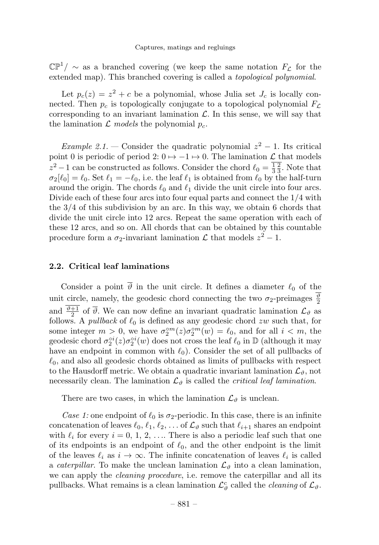$\mathbb{CP}^1/\sim$  as a branched covering (we keep the same notation  $F_{\mathcal{L}}$  for the extended map). This branched covering is called a topological polynomial.

Let  $p_c(z) = z^2 + c$  be a polynomial, whose Julia set  $J_c$  is locally connected. Then  $p_c$  is topologically conjugate to a topological polynomial  $F_c$ corresponding to an invariant lamination  $\mathcal{L}$ . In this sense, we will say that the lamination  $\mathcal{L}$  models the polynomial  $p_c$ .

Example 2.1. — Consider the quadratic polynomial  $z^2 - 1$ . Its critical point 0 is periodic of period 2:  $0 \mapsto -1 \mapsto 0$ . The lamination  $\mathcal L$  that models  $z^2 - 1$  can be constructed as follows. Consider the chord  $\ell_0 = \frac{1}{3} \frac{2}{3}$ . Note that  $\sigma_2[\ell_0] = \ell_0$ . Set  $\ell_1 = -\ell_0$ , i.e. the leaf  $\ell_1$  is obtained from  $\ell_0$  by the half-turn around the origin. The chords  $\ell_0$  and  $\ell_1$  divide the unit circle into four arcs. Divide each of these four arcs into four equal parts and connect the 1/4 with the 3/4 of this subdivision by an arc. In this way, we obtain 6 chords that divide the unit circle into 12arcs. Repeat the same operation with each of these 12arcs, and so on. All chords that can be obtained by this countable procedure form a  $\sigma_2$ -invariant lamination  $\mathcal L$  that models  $z^2 - 1$ .

#### 2.2. Critical leaf laminations

Consider a point  $\overline{\vartheta}$  in the unit circle. It defines a diameter  $\ell_0$  of the unit circle, namely, the geodesic chord connecting the two  $\sigma_2$ -preimages  $\frac{\vartheta}{2}$ and  $\frac{\vartheta+1}{2}$  of  $\overline{\vartheta}$ . We can now define an invariant quadratic lamination  $\mathcal{L}_{\vartheta}$  as follows. A *pullback* of  $\ell_0$  is defined as any geodesic chord zw such that, for some integer  $m > 0$ , we have  $\sigma_2^{\circ m}(z) \sigma_2^{\circ m}(w) = \ell_0$ , and for all  $i < m$ , the geodesic chord  $\sigma_2^{\circ i}(z)\sigma_2^{\circ i}(w)$  does not cross the leaf  $\ell_0$  in  $\mathbb D$  (although it may have an endpoint in common with  $\ell_0$ . Consider the set of all pullbacks of  $\ell_0$ , and also all geodesic chords obtained as limits of pullbacks with respect to the Hausdorff metric. We obtain a quadratic invariant lamination  $\mathcal{L}_{\vartheta}$ , not necessarily clean. The lamination  $\mathcal{L}_{\vartheta}$  is called the *critical leaf lamination*.

There are two cases, in which the lamination  $\mathcal{L}_{\vartheta}$  is unclean.

Case 1: one endpoint of  $\ell_0$  is  $\sigma_2$ -periodic. In this case, there is an infinite concatenation of leaves  $\ell_0, \ell_1, \ell_2, \ldots$  of  $\mathcal{L}_{\vartheta}$  such that  $\ell_{i+1}$  shares an endpoint with  $\ell_i$  for every  $i = 0, 1, 2, \ldots$  There is also a periodic leaf such that one of its endpoints is an endpoint of  $\ell_0$ , and the other endpoint is the limit of the leaves  $\ell_i$  as  $i \to \infty$ . The infinite concatenation of leaves  $\ell_i$  is called a *caterpillar*. To make the unclean lamination  $\mathcal{L}_{\vartheta}$  into a clean lamination, we can apply the *cleaning procedure*, i.e. remove the caterpillar and all its pullbacks. What remains is a clean lamination  $\mathcal{L}_{\vartheta}^c$  called the *cleaning* of  $\mathcal{L}_{\vartheta}$ .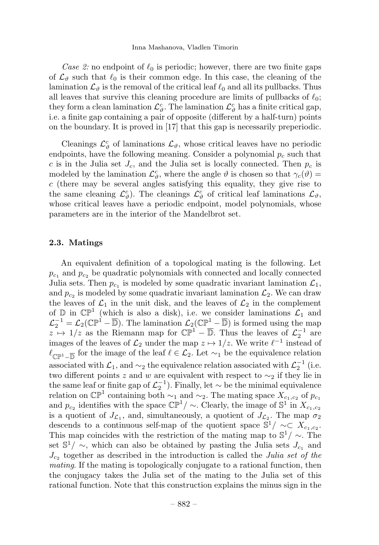Case 2: no endpoint of  $\ell_0$  is periodic; however, there are two finite gaps of  $\mathcal{L}_{\theta}$  such that  $\ell_0$  is their common edge. In this case, the cleaning of the lamination  $\mathcal{L}_{\theta}$  is the removal of the critical leaf  $\ell_0$  and all its pullbacks. Thus all leaves that survive this cleaning procedure are limits of pullbacks of  $\ell_0$ ; they form a clean lamination  $\mathcal{L}_{\vartheta}^c$ . The lamination  $\mathcal{L}_{\vartheta}^c$  has a finite critical gap, i.e. a finite gap containing a pair of opposite (different by a half-turn) points on the boundary. It is proved in [17] that this gap is necessarily preperiodic.

Cleanings  $\mathcal{L}_{\vartheta}^c$  of laminations  $\mathcal{L}_{\vartheta}$ , whose critical leaves have no periodic endpoints, have the following meaning. Consider a polynomial  $p_c$  such that c is in the Julia set  $J_c$ , and the Julia set is locally connected. Then  $p_c$  is modeled by the lamination  $\mathcal{L}_{\vartheta}^c$ , where the angle  $\vartheta$  is chosen so that  $\gamma_c(\vartheta)$  =  $c$  (there may be several angles satisfying this equality, they give rise to the same cleaning  $\mathcal{L}_{\vartheta}^c$ . The cleanings  $\mathcal{L}_{\vartheta}^c$  of critical leaf laminations  $\mathcal{L}_{\vartheta}$ , whose critical leaves have a periodic endpoint, model polynomials, whose parameters are in the interior of the Mandelbrot set.

#### 2.3. Matings

An equivalent definition of a topological mating is the following. Let  $p_{c1}$  and  $p_{c2}$  be quadratic polynomials with connected and locally connected Julia sets. Then  $p_{c1}$  is modeled by some quadratic invariant lamination  $\mathcal{L}_1$ , and  $p_{c2}$  is modeled by some quadratic invariant lamination  $\mathcal{L}_2$ . We can draw the leaves of  $\mathcal{L}_1$  in the unit disk, and the leaves of  $\mathcal{L}_2$  in the complement of  $\mathbb D$  in  $\mathbb{CP}^1$  (which is also a disk), i.e. we consider laminations  $\mathcal L_1$  and  $\mathcal{L}_2^{-1} = \mathcal{L}_2(\mathbb{CP}^1 - \overline{\mathbb{D}})$ . The lamination  $\mathcal{L}_2(\mathbb{CP}^1 - \overline{\mathbb{D}})$  is formed using the map  $z \mapsto 1/z$  as the Riemann map for  $\mathbb{CP}^1 - \overline{\mathbb{D}}$ . Thus the leaves of  $\mathcal{L}_2^{-1}$  are images of the leaves of  $\mathcal{L}_2$  under the map  $z \mapsto 1/z$ . We write  $\ell^{-1}$  instead of  $\ell_{\mathbb{C}\mathbb{P}^1-\overline{\mathbb{D}}}$  for the image of the leaf  $\ell \in \mathcal{L}_2$ . Let  $\sim_1$  be the equivalence relation associated with  $\mathcal{L}_1$ , and  $\sim_2$  the equivalence relation associated with  $\mathcal{L}_2^{-1}$  (i.e. two different points z and w are equivalent with respect to  $\sim_2$  if they lie in the same leaf or finite gap of  $\mathcal{L}_2^{-1}$ ). Finally, let  $\sim$  be the minimal equivalence relation on  $\mathbb{CP}^1$  containing both ~1 and ~2. The mating space  $X_{c_1,c_2}$  of  $p_{c_1}$ and  $p_c$  identifies with the space  $\mathbb{CP}^1/\sim$ . Clearly, the image of S<sup>1</sup> in  $X_{c_1,c_2}$ is a quotient of  $J_{\mathcal{L}_1}$ , and, simultaneously, a quotient of  $J_{\mathcal{L}_2}$ . The map  $\sigma_2$ descends to a continuous self-map of the quotient space  $\mathbb{S}^1/\sim\subset X_{c_1,c_2}$ . This map coincides with the restriction of the mating map to  $\mathbb{S}^1/\sim$ . The set  $\mathbb{S}^1/\sim$ , which can also be obtained by pasting the Julia sets  $J_{c_1}$  and  $J_{c_2}$  together as described in the introduction is called the Julia set of the mating. If the mating is topologically conjugate to a rational function, then the conjugacy takes the Julia set of the mating to the Julia set of this rational function. Note that this construction explains the minus sign in the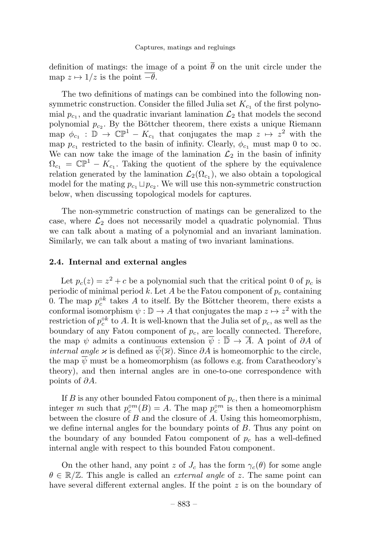definition of matings: the image of a point  $\overline{\theta}$  on the unit circle under the map  $z \mapsto 1/z$  is the point  $-\overline{\theta}$ .

The two definitions of matings can be combined into the following nonsymmetric construction. Consider the filled Julia set  $K_{c_1}$  of the first polynomial  $p_{c_1}$ , and the quadratic invariant lamination  $\mathcal{L}_2$  that models the second polynomial  $p_{c_2}$ . By the Böttcher theorem, there exists a unique Riemann map  $\phi_{c_1} : \mathbb{D} \to \mathbb{CP}^1 - K_{c_1}$  that conjugates the map  $z \mapsto z^2$  with the map  $p_{c_1}$  restricted to the basin of infinity. Clearly,  $\phi_{c_1}$  must map 0 to  $\infty$ . We can now take the image of the lamination  $\mathcal{L}_2$  in the basin of infinity  $\Omega_{c_1} = \mathbb{CP}^1 - K_{c_1}$ . Taking the quotient of the sphere by the equivalence relation generated by the lamination  $\mathcal{L}_2(\Omega_{c_1})$ , we also obtain a topological model for the mating  $p_{c_1} \sqcup p_{c_2}$ . We will use this non-symmetric construction below, when discussing topological models for captures.

The non-symmetric construction of matings can be generalized to the case, where  $\mathcal{L}_2$  does not necessarily model a quadratic polynomial. Thus we can talk about a mating of a polynomial and an invariant lamination. Similarly, we can talk about a mating of two invariant laminations.

#### 2.4. Internal and external angles

Let  $p_c(z) = z^2 + c$  be a polynomial such that the critical point 0 of  $p_c$  is periodic of minimal period k. Let A be the Fatou component of  $p_c$  containing 0. The map  $p_c^{\circ k}$  takes A to itself. By the Böttcher theorem, there exists a conformal isomorphism  $\psi : \mathbb{D} \to A$  that conjugates the map  $z \mapsto z^2$  with the restriction of  $p_c^{\circ k}$  to A. It is well-known that the Julia set of  $p_c$ , as well as the boundary of any Fatou component of  $p_c$ , are locally connected. Therefore, the map  $\psi$  admits a continuous extension  $\overline{\psi}: \overline{\mathbb{D}} \to \overline{A}$ . A point of  $\partial A$  of *internal angle κ* is defined as  $\psi(\bar{\kappa})$ . Since  $\partial A$  is homeomorphic to the circle, the map  $\psi$  must be a homeomorphism (as follows e.g. from Caratheodory's theory), and then internal angles are in one-to-one correspondence with points of ∂A.

If  $B$  is any other bounded Fatou component of  $p_c$ , then there is a minimal integer m such that  $p_c^{\circ m}(B) = A$ . The map  $p_c^{\circ m}$  is then a homeomorphism between the closure of  $B$  and the closure of  $A$ . Using this homeomorphism, we define internal angles for the boundary points of  $B$ . Thus any point on the boundary of any bounded Fatou component of  $p_c$  has a well-defined internal angle with respect to this bounded Fatou component.

On the other hand, any point z of  $J_c$  has the form  $\gamma_c(\theta)$  for some angle  $\theta \in \mathbb{R}/\mathbb{Z}$ . This angle is called an *external angle* of z. The same point can have several different external angles. If the point z is on the boundary of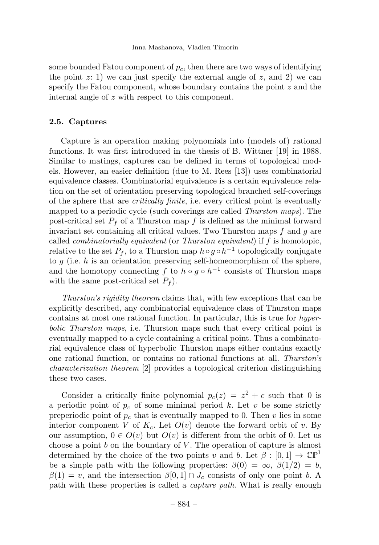#### Inna Mashanova, Vladlen Timorin

some bounded Fatou component of  $p_c$ , then there are two ways of identifying the point  $z: 1$ ) we can just specify the external angle of  $z$ , and 2) we can specify the Fatou component, whose boundary contains the point z and the internal angle of z with respect to this component.

#### 2.5. Captures

Capture is an operation making polynomials into (models of) rational functions. It was first introduced in the thesis of B. Wittner [19] in 1988. Similar to matings, captures can be defined in terms of topological models. However, an easier definition (due to M. Rees [13]) uses combinatorial equivalence classes. Combinatorial equivalence is a certain equivalence relation on the set of orientation preserving topological branched self-coverings of the sphere that are *critically finite*, i.e. every critical point is eventually mapped to a periodic cycle (such coverings are called *Thurston maps*). The post-critical set  $P_f$  of a Thurston map f is defined as the minimal forward invariant set containing all critical values. Two Thurston maps  $f$  and  $g$  are called *combinatorially equivalent* (or *Thurston equivalent*) if  $f$  is homotopic, relative to the set  $P_f$ , to a Thurston map  $h \circ g \circ h^{-1}$  topologically conjugate to g (i.e. h is an orientation preserving self-homeomorphism of the sphere, and the homotopy connecting f to  $h \circ g \circ h^{-1}$  consists of Thurston maps with the same post-critical set  $P_f$ ).

Thurston's rigidity theorem claims that, with few exceptions that can be explicitly described, any combinatorial equivalence class of Thurston maps contains at most one rational function. In particular, this is true for hyperbolic Thurston maps, i.e. Thurston maps such that every critical point is eventually mapped to a cycle containing a critical point. Thus a combinatorial equivalence class of hyperbolic Thurston maps either contains exactly one rational function, or contains no rational functions at all. Thurston's characterization theorem [2] provides a topological criterion distinguishing these two cases.

Consider a critically finite polynomial  $p_c(z) = z^2 + c$  such that 0 is a periodic point of  $p_c$  of some minimal period k. Let v be some strictly preperiodic point of  $p_c$  that is eventually mapped to 0. Then v lies in some interior component V of  $K_c$ . Let  $O(v)$  denote the forward orbit of v. By our assumption,  $0 \in O(v)$  but  $O(v)$  is different from the orbit of 0. Let us choose a point b on the boundary of V. The operation of capture is almost determined by the choice of the two points v and b. Let  $\beta : [0, 1] \to \mathbb{CP}^1$ be a simple path with the following properties:  $\beta(0) = \infty$ ,  $\beta(1/2) = b$ ,  $\beta(1) = v$ , and the intersection  $\beta[0,1] \cap J_c$  consists of only one point b. A path with these properties is called a *capture path*. What is really enough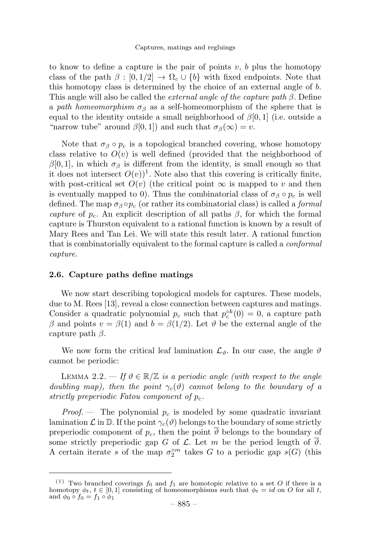to know to define a capture is the pair of points  $v, b$  plus the homotopy class of the path  $\beta : [0, 1/2] \to \Omega_c \cup \{b\}$  with fixed endpoints. Note that this homotopy class is determined by the choice of an external angle of b. This angle will also be called the *external angle of the capture path*  $\beta$ *.* Define a path homeomorphism  $\sigma_{\beta}$  as a self-homeomorphism of the sphere that is equal to the identity outside a small neighborhood of  $\beta[0, 1]$  (i.e. outside a "narrow tube" around  $\beta[0,1]$  and such that  $\sigma_{\beta}(\infty) = v$ .

Note that  $\sigma_{\beta} \circ p_c$  is a topological branched covering, whose homotopy class relative to  $O(v)$  is well defined (provided that the neighborhood of  $β[0, 1]$ , in which  $σ_β$  is different from the identity, is small enough so that it does not intersect  $O(v)$ <sup>1</sup>. Note also that this covering is critically finite, with post-critical set  $O(v)$  (the critical point  $\infty$  is mapped to v and then is eventually mapped to 0). Thus the combinatorial class of  $\sigma_\beta \circ p_c$  is well defined. The map  $\sigma_{\beta} \circ p_c$  (or rather its combinatorial class) is called a *formal* capture of  $p_c$ . An explicit description of all paths  $\beta$ , for which the formal capture is Thurston equivalent to a rational function is known by a result of Mary Rees and Tan Lei. We will state this result later. A rational function that is combinatorially equivalent to the formal capture is called a *conformal* capture.

#### 2.6. Capture paths define matings

We now start describing topological models for captures. These models, due to M. Rees [13], reveal a close connection between captures and matings. Consider a quadratic polynomial  $p_c$  such that  $p_c^{\circ k}(0) = 0$ , a capture path β and points  $v = \beta(1)$  and  $b = \beta(1/2)$ . Let θ be the external angle of the capture path  $\beta$ .

We now form the critical leaf lamination  $\mathcal{L}_{\vartheta}$ . In our case, the angle  $\vartheta$ cannot be periodic:

LEMMA 2.2. — If  $\vartheta \in \mathbb{R}/\mathbb{Z}$  is a periodic angle (with respect to the angle doubling map), then the point  $\gamma_c(\vartheta)$  cannot belong to the boundary of a strictly preperiodic Fatou component of  $p_c$ .

*Proof.* – The polynomial  $p_c$  is modeled by some quadratic invariant lamination  $\mathcal L$  in  $\mathbb D$ . If the point  $\gamma_c(\vartheta)$  belongs to the boundary of some strictly preperiodic component of  $p_c$ , then the point  $\overline{\vartheta}$  belongs to the boundary of some strictly preperiodic gap G of  $\mathcal L$ . Let m be the period length of  $\overline{\vartheta}$ . A certain iterate s of the map  $\sigma_2^{om}$  takes G to a periodic gap  $s(G)$  (this

<sup>&</sup>lt;sup>(1)</sup> Two branched coverings  $f_0$  and  $f_1$  are homotopic relative to a set O if there is a homotopy  $\phi_t$ ,  $t \in [0, 1]$  consisting of homeomorphisms such that  $\phi_t = id$  on O for all t, and  $\phi_0 \circ f_0 = f_1 \circ \phi_1$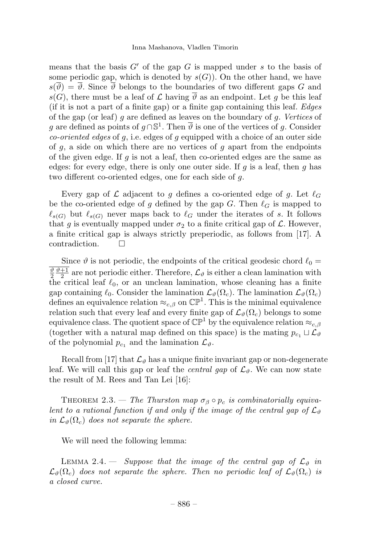means that the basis  $G'$  of the gap G is mapped under s to the basis of some periodic gap, which is denoted by  $s(G)$ ). On the other hand, we have  $s(\overline{\vartheta}) = \overline{\vartheta}$ . Since  $\overline{\vartheta}$  belongs to the boundaries of two different gaps G and s(G), there must be a leaf of  $\mathcal L$  having  $\overline{\vartheta}$  as an endpoint. Let q be this leaf (if it is not a part of a finite gap) or a finite gap containing this leaf. Edges of the gap (or leaf) q are defined as leaves on the boundary of q. Vertices of g are defined as points of  $g \cap \mathbb{S}^1$ . Then  $\overline{\vartheta}$  is one of the vertices of g. Consider *co-oriented edges* of  $q$ , i.e. edges of  $q$  equipped with a choice of an outer side of  $g$ , a side on which there are no vertices of  $g$  apart from the endpoints of the given edge. If  $g$  is not a leaf, then co-oriented edges are the same as edges: for every edge, there is only one outer side. If  $g$  is a leaf, then  $g$  has two different co-oriented edges, one for each side of g.

Every gap of L adjacent to g defines a co-oriented edge of g. Let  $\ell_G$ be the co-oriented edge of g defined by the gap G. Then  $\ell_G$  is mapped to  $\ell_{s(G)}$  but  $\ell_{s(G)}$  never maps back to  $\ell_G$  under the iterates of s. It follows that g is eventually mapped under  $\sigma_2$  to a finite critical gap of  $\mathcal L$ . However, a finite critical gap is always strictly preperiodic, as follows from [17]. A contradiction.

Since  $\vartheta$  is not periodic, the endpoints of the critical geodesic chord  $\ell_0 =$  $\frac{\vartheta}{2} \frac{\vartheta+1}{2}$  are not periodic either. Therefore,  $\mathcal{L}_{\vartheta}$  is either a clean lamination with the critical leaf  $\ell_0$ , or an unclean lamination, whose cleaning has a finite gap containing  $\ell_0$ . Consider the lamination  $\mathcal{L}_{\vartheta}(\Omega_c)$ . The lamination  $\mathcal{L}_{\vartheta}(\Omega_c)$ defines an equivalence relation  $\approx_{c,\beta}$  on  $\mathbb{CP}^1$ . This is the minimal equivalence relation such that every leaf and every finite gap of  $\mathcal{L}_{\theta}(\Omega_c)$  belongs to some equivalence class. The quotient space of  $\mathbb{CP}^1$  by the equivalence relation  $\approx_{c,\beta}$ (together with a natural map defined on this space) is the mating  $p_{c_1} \sqcup \mathcal{L}_{\vartheta}$ of the polynomial  $p_{c_1}$  and the lamination  $\mathcal{L}_{\vartheta}$ .

Recall from [17] that  $\mathcal{L}_{\vartheta}$  has a unique finite invariant gap or non-degenerate leaf. We will call this gap or leaf the *central gap* of  $\mathcal{L}_{\theta}$ . We can now state the result of M. Rees and Tan Lei [16]:

THEOREM 2.3. — The Thurston map  $\sigma_{\beta} \circ p_c$  is combinatorially equivalent to a rational function if and only if the image of the central gap of  $\mathcal{L}_{\vartheta}$ in  $\mathcal{L}_{\vartheta}(\Omega_c)$  does not separate the sphere.

We will need the following lemma:

LEMMA 2.4. — Suppose that the image of the central gap of  $\mathcal{L}_{\vartheta}$  in  $\mathcal{L}_{\vartheta}(\Omega_c)$  does not separate the sphere. Then no periodic leaf of  $\mathcal{L}_{\vartheta}(\Omega_c)$  is a closed curve.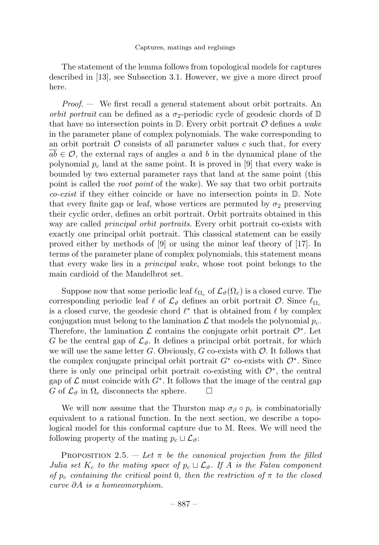The statement of the lemma follows from topological models for captures described in [13], see Subsection 3.1. However, we give a more direct proof here.

 $Proof.$  We first recall a general statement about orbit portraits. An orbit portrait can be defined as a  $\sigma_2$ -periodic cycle of geodesic chords of  $\mathbb D$ that have no intersection points in  $\mathbb{D}$ . Every orbit portrait  $\mathcal O$  defines a wake in the parameter plane of complex polynomials. The wake corresponding to an orbit portrait  $\mathcal O$  consists of all parameter values c such that, for every  $ab \in \mathcal{O}$ , the external rays of angles a and b in the dynamical plane of the polynomial  $p_c$  land at the same point. It is proved in [9] that every wake is bounded by two external parameter rays that land at the same point (this point is called the *root point* of the wake). We say that two orbit portraits *co-exist* if they either coincide or have no intersection points in  $D$ . Note that every finite gap or leaf, whose vertices are permuted by  $\sigma_2$  preserving their cyclic order, defines an orbit portrait. Orbit portraits obtained in this way are called *principal orbit portraits*. Every orbit portrait co-exists with exactly one principal orbit portrait. This classical statement can be easily proved either by methods of [9] or using the minor leaf theory of [17]. In terms of the parameter plane of complex polynomials, this statement means that every wake lies in a principal wake, whose root point belongs to the main cardioid of the Mandelbrot set.

Suppose now that some periodic leaf  $\ell_{\Omega_c}$  of  $\mathcal{L}_{\vartheta}(\Omega_c)$  is a closed curve. The corresponding periodic leaf  $\ell$  of  $\mathcal{L}_{\vartheta}$  defines an orbit portrait  $\mathcal{O}$ . Since  $\ell_{\Omega_c}$ is a closed curve, the geodesic chord  $\ell^*$  that is obtained from  $\ell$  by complex conjugation must belong to the lamination  $\mathcal L$  that models the polynomial  $p_c$ . Therefore, the lamination  $\mathcal L$  contains the conjugate orbit portrait  $\mathcal O^*$ . Let G be the central gap of  $\mathcal{L}_{\theta}$ . It defines a principal orbit portrait, for which we will use the same letter G. Obviously, G co-exists with  $\mathcal{O}$ . It follows that the complex conjugate principal orbit portrait  $G^*$  co-exists with  $\mathcal{O}^*$ . Since there is only one principal orbit portrait co-existing with  $\mathcal{O}^*$ , the central gap of  $\mathcal L$  must coincide with  $G^*$ . It follows that the image of the central gap  $G$  of  $\mathcal L_{\theta}$  in  $\Omega_c$  disconnects the sphere. G of  $\mathcal{L}_{\vartheta}$  in  $\Omega_c$  disconnects the sphere.

We will now assume that the Thurston map  $\sigma_{\beta} \circ p_c$  is combinatorially equivalent to a rational function. In the next section, we describe a topological model for this conformal capture due to M. Rees. We will need the following property of the mating  $p_c \sqcup \mathcal{L}_{\vartheta}$ :

PROPOSITION 2.5. — Let  $\pi$  be the canonical projection from the filled Julia set  $K_c$  to the mating space of  $p_c \sqcup \mathcal{L}_{\vartheta}$ . If A is the Fatou component of  $p_c$  containing the critical point 0, then the restriction of  $\pi$  to the closed curve ∂A is a homeomorphism.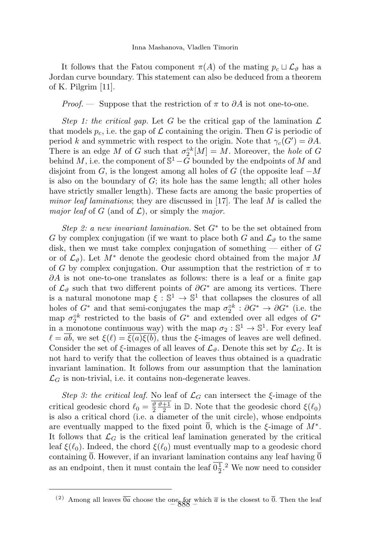It follows that the Fatou component  $\pi(A)$  of the mating  $p_c \sqcup \mathcal{L}_{\vartheta}$  has a Jordan curve boundary. This statement can also be deduced from a theorem of K. Pilgrim [11].

*Proof.* — Suppose that the restriction of  $\pi$  to  $\partial A$  is not one-to-one.

Step 1: the critical gap. Let G be the critical gap of the lamination  $\mathcal L$ that models  $p_c$ , i.e. the gap of  $\mathcal L$  containing the origin. Then G is periodic of period k and symmetric with respect to the origin. Note that  $\gamma_c(G') = \partial A$ . There is an edge M of G such that  $\sigma_2^{\circ k}[M] = M$ . Moreover, the hole of G behind M, i.e. the component of  $\mathbb{S}^1 - G$  bounded by the endpoints of M and disjoint from G, is the longest among all holes of G (the opposite leaf  $-M$ is also on the boundary of  $G$ ; its hole has the same length; all other holes have strictly smaller length). These facts are among the basic properties of *minor leaf laminations*; they are discussed in [17]. The leaf  $M$  is called the *major leaf* of G (and of  $\mathcal{L}$ ), or simply the *major*.

Step 2: a new invariant lamination. Set  $G^*$  to be the set obtained from G by complex conjugation (if we want to place both G and  $\mathcal{L}_{\theta}$  to the same disk, then we must take complex conjugation of something  $-$  either of G or of  $\mathcal{L}_{\vartheta}$ ). Let  $M^*$  denote the geodesic chord obtained from the major M of G by complex conjugation. Our assumption that the restriction of  $\pi$  to  $\partial A$  is not one-to-one translates as follows: there is a leaf or a finite gap of  $\mathcal{L}_{\vartheta}$  such that two different points of  $\partial G^*$  are among its vertices. There is a natural monotone map  $\xi : \mathbb{S}^1 \to \mathbb{S}^1$  that collapses the closures of all holes of  $G^*$  and that semi-conjugates the map  $\sigma_2^{\circ k} : \partial G^* \to \partial G^*$  (i.e. the map  $\sigma_2^{ck}$  restricted to the basis of  $G^*$  and extended over all edges of  $G^*$ in a monotone continuous way) with the map  $\sigma_2 : \mathbb{S}^1 \to \mathbb{S}^1$ . For every leaf  $\ell = \overline{ab}$ , we set  $\xi(\ell) = \overline{\xi(a)\xi(b)}$ , thus the  $\xi$ -images of leaves are well defined. Consider the set of  $\xi$ -images of all leaves of  $\mathcal{L}_{\vartheta}$ . Denote this set by  $\mathcal{L}_G$ . It is not hard to verify that the collection of leaves thus obtained is a quadratic invariant lamination. It follows from our assumption that the lamination  $\mathcal{L}_G$  is non-trivial, i.e. it contains non-degenerate leaves.

Step 3: the critical leaf. No leaf of  $\mathcal{L}_G$  can intersect the  $\xi$ -image of the critical geodesic chord  $\ell_0 = \frac{\vartheta}{2} \frac{\vartheta + 1}{2}$  in  $\mathbb{D}$ . Note that the geodesic chord  $\xi(\ell_0)$ is also a critical chord (i.e. a diameter of the unit circle), whose endpoints are eventually mapped to the fixed point  $\overline{0}$ , which is the  $\xi$ -image of  $M^*$ . It follows that  $\mathcal{L}_G$  is the critical leaf lamination generated by the critical leaf  $\xi(\ell_0)$ . Indeed, the chord  $\xi(\ell_0)$  must eventually map to a geodesic chord containing  $\overline{0}$ . However, if an invariant lamination contains any leaf having  $\overline{0}$ as an endpoint, then it must contain the leaf  $0\frac{1}{2}$ .<sup>2</sup> We now need to consider

<sup>(2)</sup> Among all leaves  $\overline{0a}$  choose the one, for which  $\overline{a}$  is the closest to  $\overline{0}$ . Then the leaf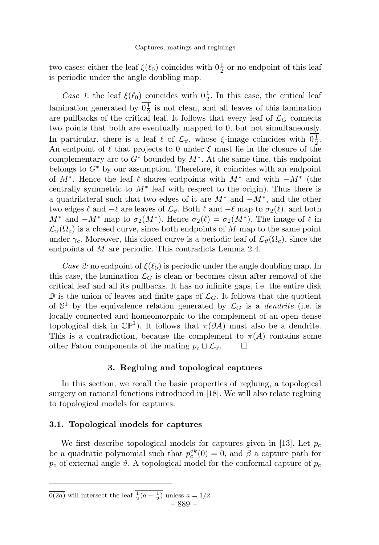two cases: either the leaf  $\xi(\ell_0)$  coincides with  $0\frac{1}{2}$  or no endpoint of this leaf is periodic under the angle doubling map.

Case 1: the leaf  $\xi(\ell_0)$  coincides with  $0\frac{1}{2}$ . In this case, the critical leaf lamination generated by  $0\frac{1}{2}$  is not clean, and all leaves of this lamination are pullbacks of the critical leaf. It follows that every leaf of  $\mathcal{L}_G$  connects two points that both are eventually mapped to  $\overline{0}$ , but not simultaneously. In particular, there is a leaf  $\ell$  of  $\mathcal{L}_{\vartheta}$ , whose  $\xi$ -image coincides with  $0\frac{1}{2}$ . An endpoint of  $\ell$  that projects to  $\overline{0}$  under  $\xi$  must lie in the closure of the complementary arc to  $G^*$  bounded by  $M^*$ . At the same time, this endpoint belongs to  $G^*$  by our assumption. Therefore, it coincides with an endpoint of  $M^*$ . Hence the leaf  $\ell$  shares endpoints with  $M^*$  and with  $-M^*$  (the centrally symmetric to  $M^*$  leaf with respect to the origin). Thus there is a quadrilateral such that two edges of it are  $M^*$  and  $-M^*$ , and the other two edges  $\ell$  and  $-\ell$  are leaves of  $\mathcal{L}_{\vartheta}$ . Both  $\ell$  and  $-\ell$  map to  $\sigma_2(\ell)$ , and both  $M^*$  and  $-M^*$  map to  $\sigma_2(M^*)$ . Hence  $\sigma_2(\ell) = \sigma_2(M^*)$ . The image of  $\ell$  in  $\mathcal{L}_{\theta}(\Omega_c)$  is a closed curve, since both endpoints of M map to the same point under  $\gamma_c$ . Moreover, this closed curve is a periodic leaf of  $\mathcal{L}_{\theta}(\Omega_c)$ , since the endpoints of M are periodic. This contradicts Lemma 2.4.

Case 2: no endpoint of  $\xi(\ell_0)$  is periodic under the angle doubling map. In this case, the lamination  $\mathcal{L}_G$  is clean or becomes clean after removal of the critical leaf and all its pullbacks. It has no infinite gaps, i.e. the entire disk  $\overline{\mathbb{D}}$  is the union of leaves and finite gaps of  $\mathcal{L}_G$ . It follows that the quotient of  $\mathbb{S}^1$  by the equivalence relation generated by  $\mathcal{L}_G$  is a *dendrite* (i.e. is locally connected and homeomorphic to the complement of an open dense topological disk in  $\mathbb{CP}^1$ ). It follows that  $\pi(\partial A)$  must also be a dendrite. This is a contradiction, because the complement to  $\pi(A)$  contains some other Fatou components of the mating  $p_c \sqcup \mathcal{L}_{\vartheta}$ .  $\Box$ 

#### 3. Regluing and topological captures

In this section, we recall the basic properties of regluing, a topological surgery on rational functions introduced in [18]. We will also relate regluing to topological models for captures.

#### 3.1. Topological models for captures

We first describe topological models for captures given in [13]. Let  $p_c$ be a quadratic polynomial such that  $p_c^{\circ k}(0) = 0$ , and  $\beta$  a capture path for  $p_c$  of external angle  $\vartheta$ . A topological model for the conformal capture of  $p_c$ 

 $\overline{0(2a)}$  will intersect the leaf  $\frac{1}{2}(a + \frac{1}{2})$  unless  $a = 1/2$ .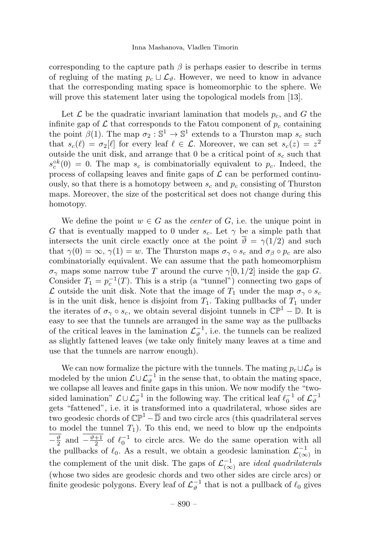corresponding to the capture path  $\beta$  is perhaps easier to describe in terms of regluing of the mating  $p_c \sqcup \mathcal{L}_{\vartheta}$ . However, we need to know in advance that the corresponding mating space is homeomorphic to the sphere. We will prove this statement later using the topological models from [13].

Let  $\mathcal L$  be the quadratic invariant lamination that models  $p_c$ , and G the infinite gap of  $\mathcal L$  that corresponds to the Fatou component of  $p_c$  containing the point  $\beta(1)$ . The map  $\sigma_2 : \mathbb{S}^1 \to \mathbb{S}^1$  extends to a Thurston map  $s_c$  such that  $s_c(\ell) = \sigma_2[\ell]$  for every leaf  $\ell \in \mathcal{L}$ . Moreover, we can set  $s_c(z) = z^2$ outside the unit disk, and arrange that  $0$  be a critical point of  $s_c$  such that  $s_c^{\circ k}(0) = 0$ . The map  $s_c$  is combinatorially equivalent to  $p_c$ . Indeed, the process of collapsing leaves and finite gaps of  $\mathcal L$  can be performed continuously, so that there is a homotopy between  $s_c$  and  $p_c$  consisting of Thurston maps. Moreover, the size of the postcritical set does not change during this homotopy.

We define the point  $w \in G$  as the *center* of G, i.e. the unique point in G that is eventually mapped to 0 under  $s_c$ . Let  $\gamma$  be a simple path that intersects the unit circle exactly once at the point  $\overline{\vartheta} = \gamma(1/2)$  and such that  $\gamma(0) = \infty$ ,  $\gamma(1) = w$ . The Thurston maps  $\sigma_{\gamma} \circ s_c$  and  $\sigma_{\beta} \circ p_c$  are also combinatorially equivalent. We can assume that the path homeomorphism  $\sigma_{\gamma}$  maps some narrow tube T around the curve  $\gamma[0, 1/2]$  inside the gap G. Consider  $T_1 = p_c^{-1}(T)$ . This is a strip (a "tunnel") connecting two gaps of L outside the unit disk. Note that the image of  $T_1$  under the map  $\sigma_{\gamma} \circ s_c$ is in the unit disk, hence is disjoint from  $T_1$ . Taking pullbacks of  $T_1$  under the iterates of  $\sigma_{\gamma} \circ s_c$ , we obtain several disjoint tunnels in  $\mathbb{CP}^1 - \mathbb{D}$ . It is easy to see that the tunnels are arranged in the same way as the pullbacks of the critical leaves in the lamination  $\mathcal{L}_{\vartheta}^{-1}$ , i.e. the tunnels can be realized as slightly fattened leaves (we take only finitely many leaves at a time and use that the tunnels are narrow enough).

We can now formalize the picture with the tunnels. The mating  $p_c \sqcup \mathcal{L}_{\vartheta}$  is modeled by the union  $\mathcal{L} \cup \mathcal{L}_{\vartheta}^{-1}$  in the sense that, to obtain the mating space, we collapse all leaves and finite gaps in this union. We now modify the "twosided lamination"  $\mathcal{L} \cup \mathcal{L}_{\vartheta}^{-1}$  in the following way. The critical leaf  $\ell_0^{-1}$  of  $\mathcal{L}_{\vartheta}^{-1}$ gets "fattened", i.e. it is transformed into a quadrilateral, whose sides are two geodesic chords of  $\mathbb{CP}^1 - \overline{\mathbb{D}}$  and two circle arcs (this quadrilateral serves to model the tunnel  $T_1$ ). To this end, we need to blow up the endpoints  $-\frac{\vartheta}{2}$  and  $-\frac{\vartheta+1}{2}$  of  $\ell_0^{-1}$  to circle arcs. We do the same operation with all the pullbacks of  $\ell_0$ . As a result, we obtain a geodesic lamination  $\mathcal{L}^{-1}_{(\infty)}$  in the complement of the unit disk. The gaps of  $\mathcal{L}^{-1}_{(\infty)}$  are *ideal quadrilaterals* (whose two sides are geodesic chords and two other sides are circle arcs) or finite geodesic polygons. Every leaf of  $\mathcal{L}_{\vartheta}^{-1}$  that is not a pullback of  $\ell_0$  gives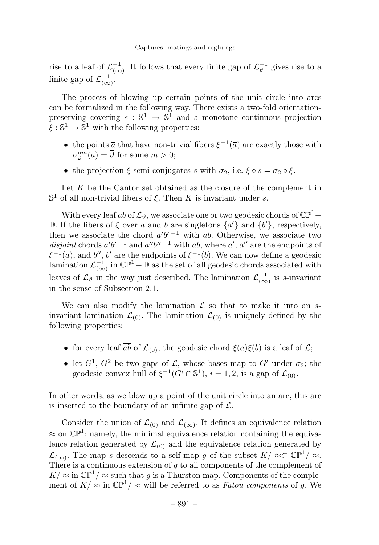rise to a leaf of  $\mathcal{L}^{-1}_{(\infty)}$ . It follows that every finite gap of  $\mathcal{L}^{-1}_{\vartheta}$  gives rise to a finite gap of  $\mathcal{L}^{-1}_{(\infty)}$ .

The process of blowing up certain points of the unit circle into arcs can be formalized in the following way. There exists a two-fold orientationpreserving covering  $s : \mathbb{S}^1 \to \mathbb{S}^1$  and a monotone continuous projection  $\xi : \mathbb{S}^1 \to \mathbb{S}^1$  with the following properties:

- the points  $\overline{a}$  that have non-trivial fibers  $\xi^{-1}(\overline{a})$  are exactly those with  $\sigma_2^{\circ m}(\overline{a}) = \overline{\vartheta}$  for some  $m > 0$ ;
- the projection  $\xi$  semi-conjugates s with  $\sigma_2$ , i.e.  $\xi \circ s = \sigma_2 \circ \xi$ .

Let  $K$  be the Cantor set obtained as the closure of the complement in  $\mathbb{S}^1$  of all non-trivial fibers of  $\xi$ . Then K is invariant under s.

With every leaf  $\overline{ab}$  of  $\mathcal{L}_{\vartheta}$ , we associate one or two geodesic chords of  $\mathbb{CP}^1$  – D. If the fibers of  $\xi$  over a and b are singletons  $\{a'\}$  and  $\{b'\}$ , respectively, then we associate the chord  $\overline{a'b'}^{-1}$  with  $\overline{ab}$ . Otherwise, we associate two *disjoint* chords  $\overline{a'b'}^{-1}$  and  $\overline{a''b''}^{-1}$  with  $\overline{ab}$ , where  $a', a''$  are the endpoints of  $\xi^{-1}(a)$ , and b'', b' are the endpoints of  $\xi^{-1}(b)$ . We can now define a geodesic lamination  $\mathcal{L}^{-1}_{(\infty)}$  in  $\mathbb{CP}^1 - \overline{\mathbb{D}}$  as the set of all geodesic chords associated with leaves of  $\mathcal{L}_{\vartheta}$  in the way just described. The lamination  $\mathcal{L}_{(\infty)}^{-1}$  is s-invariant in the sense of Subsection 2.1.

We can also modify the lamination  $\mathcal L$  so that to make it into an sinvariant lamination  $\mathcal{L}_{(0)}$ . The lamination  $\mathcal{L}_{(0)}$  is uniquely defined by the following properties:

- for every leaf  $\overline{ab}$  of  $\mathcal{L}_{(0)}$ , the geodesic chord  $\overline{\xi(a)\xi(b)}$  is a leaf of  $\mathcal{L}$ ;
- let  $G^1$ ,  $G^2$  be two gaps of  $\mathcal{L}$ , whose bases map to  $G'$  under  $\sigma_2$ ; the geodesic convex hull of  $\xi^{-1}(G^i \cap \mathbb{S}^1)$ ,  $i = 1, 2$ , is a gap of  $\mathcal{L}_{(0)}$ .

In other words, as we blow up a point of the unit circle into an arc, this arc is inserted to the boundary of an infinite gap of  $\mathcal{L}$ .

Consider the union of  $\mathcal{L}_{(0)}$  and  $\mathcal{L}_{(\infty)}$ . It defines an equivalence relation  $\approx$  on  $\mathbb{CP}^1$ : namely, the minimal equivalence relation containing the equivalence relation generated by  $\mathcal{L}_{(0)}$  and the equivalence relation generated by  $\mathcal{L}_{(\infty)}$ . The map s descends to a self-map g of the subset  $K \approx \mathbb{CP}^1 \sim$ . There is a continuous extension of  $q$  to all components of the complement of  $K \approx \text{in } \mathbb{CP}^1/\approx \text{such that } g$  is a Thurston map. Components of the complement of  $K/\approx$  in  $\mathbb{CP}^1/\approx$  will be referred to as *Fatou components* of g. We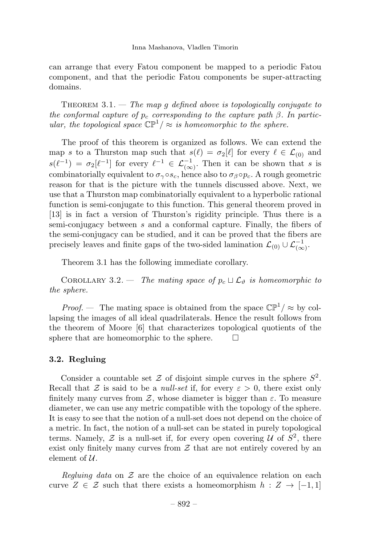Inna Mashanova, Vladlen Timorin

can arrange that every Fatou component be mapped to a periodic Fatou component, and that the periodic Fatou components be super-attracting domains.

THEOREM  $3.1.$  — The map q defined above is topologically conjugate to the conformal capture of  $p_c$  corresponding to the capture path  $\beta$ . In particular, the topological space  $\mathbb{CP}^1/\approx$  is homeomorphic to the sphere.

The proof of this theorem is organized as follows. We can extend the map s to a Thurston map such that  $s(\ell) = \sigma_2[\ell]$  for every  $\ell \in \mathcal{L}_{(0)}$  and  $s(\ell^{-1}) = \sigma_2[\ell^{-1}]$  for every  $\ell^{-1} \in \mathcal{L}_{(\infty)}^{-1}$ . Then it can be shown that s is combinatorially equivalent to  $\sigma_{\gamma} \circ s_c$ , hence also to  $\sigma_{\beta} \circ p_c$ . A rough geometric reason for that is the picture with the tunnels discussed above. Next, we use that a Thurston map combinatorially equivalent to a hyperbolic rational function is semi-conjugate to this function. This general theorem proved in [13] is in fact a version of Thurston's rigidity principle. Thus there is a semi-conjugacy between s and a conformal capture. Finally, the fibers of the semi-conjugacy can be studied, and it can be proved that the fibers are precisely leaves and finite gaps of the two-sided lamination  $\mathcal{L}_{(0)} \cup \mathcal{L}_{(\infty)}^{-1}$ .

Theorem 3.1 has the following immediate corollary.

COROLLARY 3.2. — The mating space of  $p_c \sqcup \mathcal{L}_{\vartheta}$  is homeomorphic to the sphere.

*Proof.* — The mating space is obtained from the space  $\mathbb{CP}^1/\approx$  by collapsing the images of all ideal quadrilaterals. Hence the result follows from the theorem of Moore [6] that characterizes topological quotients of the sphere that are homeomorphic to the sphere.  $\Box$ 

#### 3.2. Regluing

Consider a countable set  $\mathcal Z$  of disjoint simple curves in the sphere  $S^2$ . Recall that Z is said to be a *null-set* if, for every  $\varepsilon > 0$ , there exist only finitely many curves from  $\mathcal{Z}$ , whose diameter is bigger than  $\varepsilon$ . To measure diameter, we can use any metric compatible with the topology of the sphere. It is easy to see that the notion of a null-set does not depend on the choice of a metric. In fact, the notion of a null-set can be stated in purely topological terms. Namely,  $\mathcal Z$  is a null-set if, for every open covering  $\mathcal U$  of  $S^2$ , there exist only finitely many curves from  $\mathcal Z$  that are not entirely covered by an element of  $\mathcal{U}$ .

Regluing data on  $\mathcal Z$  are the choice of an equivalence relation on each curve  $Z \in \mathcal{Z}$  such that there exists a homeomorphism  $h : Z \to [-1,1]$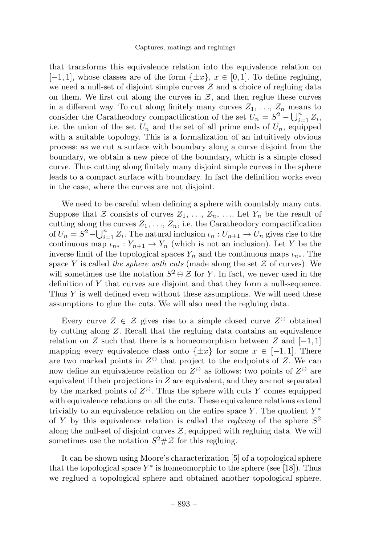that transforms this equivalence relation into the equivalence relation on  $[-1, 1]$ , whose classes are of the form  $\{\pm x\}$ ,  $x \in [0, 1]$ . To define regluing, we need a null-set of disjoint simple curves  $\mathcal Z$  and a choice of regluing data on them. We first cut along the curves in  $\mathcal{Z}$ , and then reglue these curves in a different way. To cut along finitely many curves  $Z_1, \ldots, Z_n$  means to consider the Caratheodory compactification of the set  $U_n = S^2 - \bigcup_{i=1}^n Z_i$ , i.e. the union of the set  $U_n$  and the set of all prime ends of  $U_n$ , equipped with a suitable topology. This is a formalization of an intuitively obvious process: as we cut a surface with boundary along a curve disjoint from the boundary, we obtain a new piece of the boundary, which is a simple closed curve. Thus cutting along finitely many disjoint simple curves in the sphere leads to a compact surface with boundary. In fact the definition works even in the case, where the curves are not disjoint.

We need to be careful when defining a sphere with countably many cuts. Suppose that  $\mathcal Z$  consists of curves  $Z_1, \ldots, Z_n, \ldots$  Let  $Y_n$  be the result of cutting along the curves  $Z_1, \ldots, Z_n$ , i.e. the Caratheodory compactification of  $U_n = S^2 - \bigcup_{i=1}^n Z_i$ . The natural inclusion  $\iota_n : U_{n+1} \to U_n$  gives rise to the continuous map  $\iota_{n*}: Y_{n+1} \to Y_n$  (which is not an inclusion). Let Y be the inverse limit of the topological spaces  $Y_n$  and the continuous maps  $\iota_{n*}$ . The space Y is called the sphere with cuts (made along the set  $\mathcal Z$  of curves). We will sometimes use the notation  $S^2 \ominus \mathcal{Z}$  for Y. In fact, we never used in the definition of Y that curves are disjoint and that they form a null-sequence. Thus  $Y$  is well defined even without these assumptions. We will need these assumptions to glue the cuts. We will also need the regluing data.

Every curve  $Z \in \mathcal{Z}$  gives rise to a simple closed curve  $Z^{\ominus}$  obtained by cutting along Z. Recall that the regluing data contains an equivalence relation on Z such that there is a homeomorphism between Z and  $[-1,1]$ mapping every equivalence class onto  $\{\pm x\}$  for some  $x \in [-1, 1]$ . There are two marked points in  $Z^{\ominus}$  that project to the endpoints of Z. We can now define an equivalence relation on  $Z^{\ominus}$  as follows: two points of  $Z^{\ominus}$  are equivalent if their projections in Z are equivalent, and they are not separated by the marked points of  $Z^{\ominus}$ . Thus the sphere with cuts Y comes equipped with equivalence relations on all the cuts. These equivalence relations extend trivially to an equivalence relation on the entire space Y. The quotient  $Y^*$ of Y by this equivalence relation is called the *regluing* of the sphere  $S^2$ along the null-set of disjoint curves  $\mathcal{Z}$ , equipped with regluing data. We will sometimes use the notation  $S^2 \# \mathcal{Z}$  for this regluing.

It can be shown using Moore's characterization [5] of a topological sphere that the topological space  $Y^*$  is homeomorphic to the sphere (see [18]). Thus we reglued a topological sphere and obtained another topological sphere.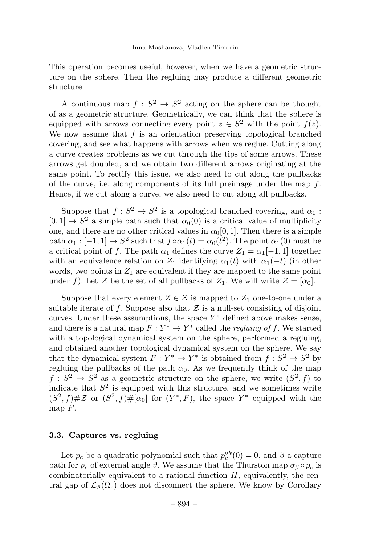This operation becomes useful, however, when we have a geometric structure on the sphere. Then the regluing may produce a different geometric structure.

A continuous map  $f: S^2 \to S^2$  acting on the sphere can be thought of as a geometric structure. Geometrically, we can think that the sphere is equipped with arrows connecting every point  $z \in S^2$  with the point  $f(z)$ . We now assume that  $f$  is an orientation preserving topological branched covering, and see what happens with arrows when we reglue. Cutting along a curve creates problems as we cut through the tips of some arrows. These arrows get doubled, and we obtain two different arrows originating at the same point. To rectify this issue, we also need to cut along the pullbacks of the curve, i.e. along components of its full preimage under the map  $f$ . Hence, if we cut along a curve, we also need to cut along all pullbacks.

Suppose that  $f : S^2 \to S^2$  is a topological branched covering, and  $\alpha_0$ :  $[0, 1] \rightarrow S^2$  a simple path such that  $\alpha_0(0)$  is a critical value of multiplicity one, and there are no other critical values in  $\alpha_0[0, 1]$ . Then there is a simple path  $\alpha_1 : [-1, 1] \to S^2$  such that  $f \circ \alpha_1(t) = \alpha_0(t^2)$ . The point  $\alpha_1(0)$  must be a critical point of f. The path  $\alpha_1$  defines the curve  $Z_1 = \alpha_1[-1, 1]$  together with an equivalence relation on  $Z_1$  identifying  $\alpha_1(t)$  with  $\alpha_1(-t)$  (in other words, two points in  $Z_1$  are equivalent if they are mapped to the same point under f). Let Z be the set of all pullbacks of  $Z_1$ . We will write  $\mathcal{Z} = [\alpha_0]$ .

Suppose that every element  $Z \in \mathcal{Z}$  is mapped to  $Z_1$  one-to-one under a suitable iterate of f. Suppose also that  $\mathcal Z$  is a null-set consisting of disjoint curves. Under these assumptions, the space  $Y^*$  defined above makes sense, and there is a natural map  $F: Y^* \to Y^*$  called the *regluing of f.* We started with a topological dynamical system on the sphere, performed a regluing, and obtained another topological dynamical system on the sphere. We say that the dynamical system  $F: Y^* \to Y^*$  is obtained from  $f: S^2 \to S^2$  by regluing the pullbacks of the path  $\alpha_0$ . As we frequently think of the map  $f: S^2 \to S^2$  as a geometric structure on the sphere, we write  $(S^2, f)$  to indicate that  $S<sup>2</sup>$  is equipped with this structure, and we sometimes write  $(S^2, f) \# \mathcal{Z}$  or  $(S^2, f) \# [\alpha_0]$  for  $(Y^*, F)$ , the space  $Y^*$  equipped with the map  $F$ .

#### 3.3. Captures vs. regluing

Let  $p_c$  be a quadratic polynomial such that  $p_c^{\circ k}(0) = 0$ , and  $\beta$  a capture path for  $p_c$  of external angle  $\vartheta$ . We assume that the Thurston map  $\sigma_\beta \circ p_c$  is combinatorially equivalent to a rational function  $H$ , equivalently, the central gap of  $\mathcal{L}_{\vartheta}(\Omega_c)$  does not disconnect the sphere. We know by Corollary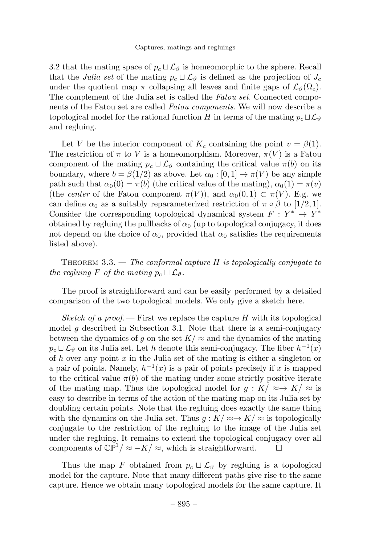#### Captures, matings and regluings

3.2 that the mating space of  $p_c \sqcup \mathcal{L}_{\vartheta}$  is homeomorphic to the sphere. Recall that the Julia set of the mating  $p_c \sqcup \mathcal{L}_{\vartheta}$  is defined as the projection of  $J_c$ under the quotient map  $\pi$  collapsing all leaves and finite gaps of  $\mathcal{L}_{\vartheta}(\Omega_c)$ . The complement of the Julia set is called the Fatou set. Connected components of the Fatou set are called *Fatou components*. We will now describe a topological model for the rational function H in terms of the mating  $p_c \sqcup \mathcal{L}_{\vartheta}$ and regluing.

Let V be the interior component of  $K_c$  containing the point  $v = \beta(1)$ . The restriction of  $\pi$  to V is a homeomorphism. Moreover,  $\pi(V)$  is a Fatou component of the mating  $p_c \sqcup \mathcal{L}_{\vartheta}$  containing the critical value  $\pi(b)$  on its boundary, where  $b = \beta(1/2)$  as above. Let  $\alpha_0 : [0, 1] \to \overline{\pi(V)}$  be any simple path such that  $\alpha_0(0) = \pi(b)$  (the critical value of the mating),  $\alpha_0(1) = \pi(v)$ (the *center* of the Fatou component  $\pi(V)$ ), and  $\alpha_0(0,1) \subset \pi(V)$ . E.g. we can define  $\alpha_0$  as a suitably reparameterized restriction of  $\pi \circ \beta$  to [1/2, 1]. Consider the corresponding topological dynamical system  $F: Y^* \to Y^*$ obtained by regluing the pullbacks of  $\alpha_0$  (up to topological conjugacy, it does not depend on the choice of  $\alpha_0$ , provided that  $\alpha_0$  satisfies the requirements listed above).

THEOREM  $3.3.$  — The conformal capture H is topologically conjugate to the regluing F of the mating  $p_c \sqcup \mathcal{L}_{\vartheta}$ .

The proof is straightforward and can be easily performed by a detailed comparison of the two topological models. We only give a sketch here.

Sketch of a proof.  $\equiv$  First we replace the capture H with its topological model g described in Subsection 3.1. Note that there is a semi-conjugacy between the dynamics of g on the set  $K \approx$  and the dynamics of the mating  $p_c \sqcup \mathcal{L}_{\vartheta}$  on its Julia set. Let h denote this semi-conjugacy. The fiber  $h^{-1}(x)$ of h over any point  $x$  in the Julia set of the mating is either a singleton or a pair of points. Namely,  $h^{-1}(x)$  is a pair of points precisely if x is mapped to the critical value  $\pi(b)$  of the mating under some strictly positive iterate of the mating map. Thus the topological model for  $g: K \to K \to K$  is easy to describe in terms of the action of the mating map on its Julia set by doubling certain points. Note that the regluing does exactly the same thing with the dynamics on the Julia set. Thus  $g: K \to K \to \mathbb{R}$  is topologically conjugate to the restriction of the regluing to the image of the Julia set under the regluing. It remains to extend the topological conjugacy over all components of  $\mathbb{CP}^1/\approx -K/\approx$ , which is straightforward.  $\square$ 

Thus the map F obtained from  $p_c \sqcup \mathcal{L}_{\vartheta}$  by regluing is a topological model for the capture. Note that many different paths give rise to the same capture. Hence we obtain many topological models for the same capture. It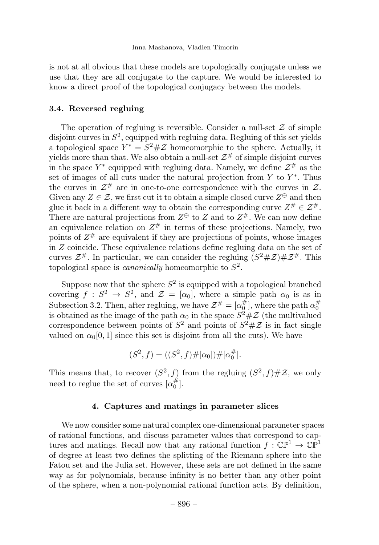is not at all obvious that these models are topologically conjugate unless we use that they are all conjugate to the capture. We would be interested to know a direct proof of the topological conjugacy between the models.

#### 3.4. Reversed regluing

The operation of regluing is reversible. Consider a null-set  $\mathcal Z$  of simple disjoint curves in  $S^2$ , equipped with regluing data. Regluing of this set yields a topological space  $Y^* = S^2 \# \mathcal{Z}$  homeomorphic to the sphere. Actually, it yields more than that. We also obtain a null-set  $\mathcal{Z}^{\#}$  of simple disjoint curves in the space  $Y^*$  equipped with regluing data. Namely, we define  $\mathcal{Z}^{\#}$  as the set of images of all cuts under the natural projection from  $Y$  to  $Y^*$ . Thus the curves in  $\mathcal{Z}^{\#}$  are in one-to-one correspondence with the curves in  $\mathcal{Z}$ . Given any  $Z \in \mathcal{Z}$ , we first cut it to obtain a simple closed curve  $Z^{\ominus}$  and then glue it back in a different way to obtain the corresponding curve  $Z^{\#} \in \mathcal{Z}^{\#}$ . There are natural projections from  $Z^{\ominus}$  to Z and to  $Z^{\#}$ . We can now define an equivalence relation on  $Z^{\#}$  in terms of these projections. Namely, two points of  $Z^{\#}$  are equivalent if they are projections of points, whose images in Z coincide. These equivalence relations define regluing data on the set of curves  $\mathcal{Z}^{\#}$ . In particular, we can consider the regluing  $(S^2 \# \mathcal{Z}) \# \mathcal{Z}^{\#}$ . This topological space is *canonically* homeomorphic to  $S^2$ .

Suppose now that the sphere  $S^2$  is equipped with a topological branched covering  $f : S^2 \to S^2$ , and  $\mathcal{Z} = [\alpha_0]$ , where a simple path  $\alpha_0$  is as in Subsection 3.2. Then, after regluing, we have  $\mathcal{Z}^{\#} = [\alpha_0^{\#}]$ , where the path  $\alpha_0^{\#}$ is obtained as the image of the path  $\alpha_0$  in the space  $S^2 \# \mathcal{Z}$  (the multivalued correspondence between points of  $S^2$  and points of  $S^2 \# Z$  is in fact single valued on  $\alpha_0[0,1]$  since this set is disjoint from all the cuts). We have

$$
(S2, f) = ((S2, f) \# [\alpha_0]) \# [\alpha_0^{\#}].
$$

This means that, to recover  $(S^2, f)$  from the regluing  $(S^2, f) \# \mathcal{Z}$ , we only need to reglue the set of curves  $\lbrack \alpha^{\#}_{0} \rbrack$ .

#### 4. Captures and matings in parameter slices

We now consider some natural complex one-dimensional parameter spaces of rational functions, and discuss parameter values that correspond to captures and matings. Recall now that any rational function  $f : \mathbb{CP}^1 \to \mathbb{CP}^1$ of degree at least two defines the splitting of the Riemann sphere into the Fatou set and the Julia set. However, these sets are not defined in the same way as for polynomials, because infinity is no better than any other point of the sphere, when a non-polynomial rational function acts. By definition,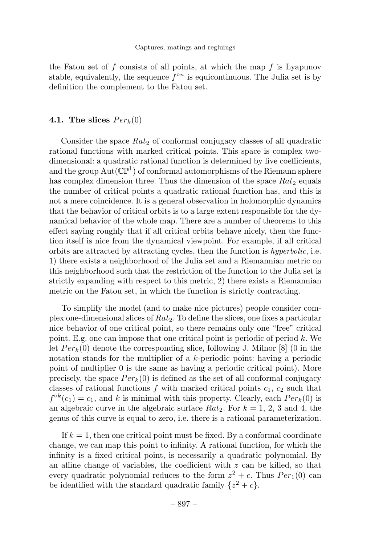the Fatou set of f consists of all points, at which the map f is Lyapunov stable, equivalently, the sequence  $f^{\circ n}$  is equicontinuous. The Julia set is by definition the complement to the Fatou set.

#### 4.1. The slices  $Per_k(0)$

Consider the space  $Rat_2$  of conformal conjugacy classes of all quadratic rational functions with marked critical points. This space is complex twodimensional: a quadratic rational function is determined by five coefficients, and the group  $Aut(\mathbb{CP}^1)$  of conformal automorphisms of the Riemann sphere has complex dimension three. Thus the dimension of the space  $Rat_2$  equals the number of critical points a quadratic rational function has, and this is not a mere coincidence. It is a general observation in holomorphic dynamics that the behavior of critical orbits is to a large extent responsible for the dynamical behavior of the whole map. There are a number of theorems to this effect saying roughly that if all critical orbits behave nicely, then the function itself is nice from the dynamical viewpoint. For example, if all critical orbits are attracted by attracting cycles, then the function is hyperbolic, i.e. 1) there exists a neighborhood of the Julia set and a Riemannian metric on this neighborhood such that the restriction of the function to the Julia set is strictly expanding with respect to this metric, 2) there exists a Riemannian metric on the Fatou set, in which the function is strictly contracting.

To simplify the model (and to make nice pictures) people consider complex one-dimensional slices of  $Rat_2$ . To define the slices, one fixes a particular nice behavior of one critical point, so there remains only one "free" critical point. E.g. one can impose that one critical point is periodic of period  $k$ . We let  $Per_k(0)$  denote the corresponding slice, following J. Milnor [8] (0 in the notation stands for the multiplier of a k-periodic point: having a periodic point of multiplier 0 is the same as having a periodic critical point). More precisely, the space  $Per_k(0)$  is defined as the set of all conformal conjugacy classes of rational functions  $f$  with marked critical points  $c_1, c_2$  such that  $f^{\circ k}(c_1) = c_1$ , and k is minimal with this property. Clearly, each  $Per_k(0)$  is an algebraic curve in the algebraic surface  $Rat_2$ . For  $k = 1, 2, 3$  and 4, the genus of this curve is equal to zero, i.e. there is a rational parameterization.

If  $k = 1$ , then one critical point must be fixed. By a conformal coordinate change, we can map this point to infinity. A rational function, for which the infinity is a fixed critical point, is necessarily a quadratic polynomial. By an affine change of variables, the coefficient with  $z$  can be killed, so that every quadratic polynomial reduces to the form  $z^2 + c$ . Thus  $Per_1(0)$  can be identified with the standard quadratic family  $\{z^2+c\}.$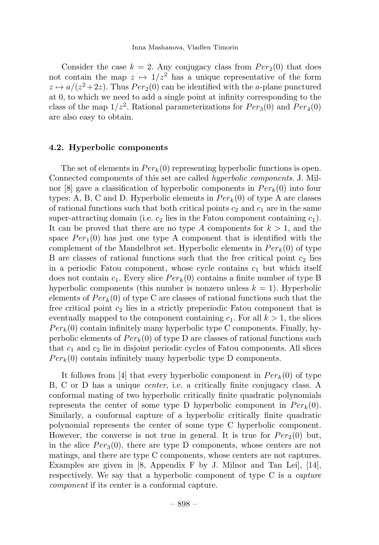Consider the case  $k = 2$ . Any conjugacy class from  $Per_2(0)$  that does not contain the map  $z \mapsto 1/z^2$  has a unique representative of the form  $z \mapsto a/(z^2+2z)$ . Thus  $Per_2(0)$  can be identified with the a-plane punctured at 0, to which we need to add a single point at infinity corresponding to the class of the map  $1/z^2$ . Rational parameterizations for  $Per_3(0)$  and  $Per_4(0)$ are also easy to obtain.

#### 4.2. Hyperbolic components

The set of elements in  $Per_k(0)$  representing hyperbolic functions is open. Connected components of this set are called hyperbolic components. J. Milnor [8] gave a classification of hyperbolic components in  $Per_k(0)$  into four types: A, B, C and D. Hyperbolic elements in  $Per_k(0)$  of type A are classes of rational functions such that both critical points  $c_2$  and  $c_1$  are in the same super-attracting domain (i.e.  $c_2$  lies in the Fatou component containing  $c_1$ ). It can be proved that there are no type A components for  $k > 1$ , and the space  $Per_1(0)$  has just one type A component that is identified with the complement of the Mandelbrot set. Hyperbolic elements in  $Per_k(0)$  of type B are classes of rational functions such that the free critical point  $c_2$  lies in a periodic Fatou component, whose cycle contains  $c_1$  but which itself does not contain  $c_1$ . Every slice  $Per_k(0)$  contains a finite number of type B hyperbolic components (this number is nonzero unless  $k = 1$ ). Hyperbolic elements of  $Per_k(0)$  of type C are classes of rational functions such that the free critical point  $c_2$  lies in a strictly preperiodic Fatou component that is eventually mapped to the component containing  $c_1$ . For all  $k > 1$ , the slices  $Per_k(0)$  contain infinitely many hyperbolic type C components. Finally, hyperbolic elements of  $Per_k(0)$  of type D are classes of rational functions such that  $c_1$  and  $c_2$  lie in disjoint periodic cycles of Fatou components. All slices  $Per_k(0)$  contain infinitely many hyperbolic type D components.

It follows from [4] that every hyperbolic component in  $Per_k(0)$  of type B, C or D has a unique center, i.e. a critically finite conjugacy class. A conformal mating of two hyperbolic critically finite quadratic polynomials represents the center of some type D hyperbolic component in  $Per_k(0)$ . Similarly, a conformal capture of a hyperbolic critically finite quadratic polynomial represents the center of some type C hyperbolic component. However, the converse is not true in general. It is true for  $Per_2(0)$  but, in the slice  $Per_3(0)$ , there are type D components, whose centers are not matings, and there are type C components, whose centers are not captures. Examples are given in [8, Appendix F by J. Milnor and Tan Lei], [14], respectively. We say that a hyperbolic component of type C is a *capture* component if its center is a conformal capture.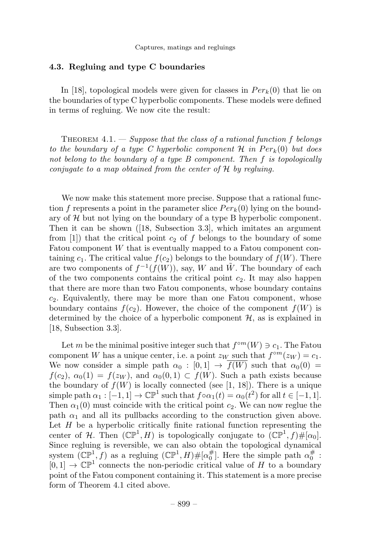#### 4.3. Regluing and type C boundaries

In [18], topological models were given for classes in  $Per_k(0)$  that lie on the boundaries of type C hyperbolic components. These models were defined in terms of regluing. We now cite the result:

THEOREM  $4.1.$  — Suppose that the class of a rational function f belongs to the boundary of a type C hyperbolic component  $\mathcal H$  in  $Per_k(0)$  but does not belong to the boundary of a type B component. Then f is topologically conjugate to a map obtained from the center of  $H$  by regluing.

We now make this statement more precise. Suppose that a rational function f represents a point in the parameter slice  $Per_k(0)$  lying on the boundary of  $H$  but not lying on the boundary of a type B hyperbolic component. Then it can be shown ([18, Subsection 3.3], which imitates an argument from  $[1]$ ) that the critical point  $c_2$  of f belongs to the boundary of some Fatou component W that is eventually mapped to a Fatou component containing  $c_1$ . The critical value  $f(c_2)$  belongs to the boundary of  $f(W)$ . There are two components of  $f^{-1}(f(W))$ , say, W and W. The boundary of each of the two components contains the critical point  $c_2$ . It may also happen that there are more than two Fatou components, whose boundary contains  $c_2$ . Equivalently, there may be more than one Fatou component, whose boundary contains  $f(c_2)$ . However, the choice of the component  $f(W)$  is determined by the choice of a hyperbolic component  $H$ , as is explained in [18, Subsection 3.3].

Let m be the minimal positive integer such that  $f^{\circ m}(W) \ni c_1$ . The Fatou component W has a unique center, i.e. a point  $z_W$  such that  $f^{\circ m}(z_W) = c_1$ . We now consider a simple path  $\alpha_0 : [0,1] \rightarrow f(W)$  such that  $\alpha_0(0) =$  $f(c_2)$ ,  $\alpha_0(1) = f(z_W)$ , and  $\alpha_0(0,1) \subset f(W)$ . Such a path exists because the boundary of  $f(W)$  is locally connected (see [1, 18]). There is a unique simple path  $\alpha_1 : [-1,1] \to \mathbb{CP}^1$  such that  $f \circ \alpha_1(t) = \alpha_0(t^2)$  for all  $t \in [-1,1]$ . Then  $\alpha_1(0)$  must coincide with the critical point  $c_2$ . We can now reglue the path  $\alpha_1$  and all its pullbacks according to the construction given above. Let  $H$  be a hyperbolic critically finite rational function representing the center of H. Then  $(\mathbb{CP}^1, H)$  is topologically conjugate to  $(\mathbb{CP}^1, f) \# [\alpha_0]$ . Since regluing is reversible, we can also obtain the topological dynamical system  $(\mathbb{CP}^1, f)$  as a regluing  $(\mathbb{CP}^1, H) \# [\alpha_0^{\#}]$ . Here the simple path  $\alpha_0^{\#}$ :  $[0,1] \rightarrow \mathbb{CP}^1$  connects the non-periodic critical value of H to a boundary point of the Fatou component containing it. This statement is a more precise form of Theorem 4.1 cited above.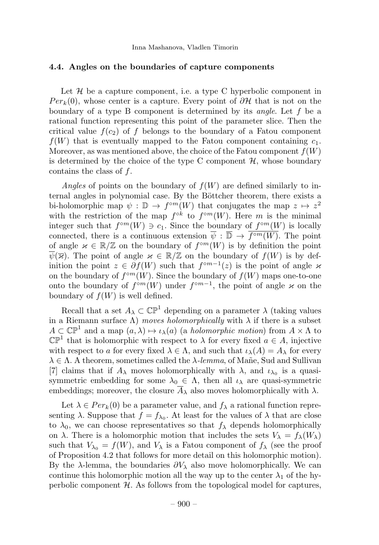#### 4.4. Angles on the boundaries of capture components

Let  $H$  be a capture component, i.e. a type C hyperbolic component in  $Per_k(0)$ , whose center is a capture. Every point of  $\partial \mathcal{H}$  that is not on the boundary of a type B component is determined by its *angle*. Let  $f$  be a rational function representing this point of the parameter slice. Then the critical value  $f(c_2)$  of f belongs to the boundary of a Fatou component  $f(W)$  that is eventually mapped to the Fatou component containing  $c_1$ . Moreover, as was mentioned above, the choice of the Fatou component  $f(W)$ is determined by the choice of the type C component  $\mathcal{H}$ , whose boundary contains the class of f.

Angles of points on the boundary of  $f(W)$  are defined similarly to internal angles in polynomial case. By the Böttcher theorem, there exists a bi-holomorphic map  $\psi : \mathbb{D} \to f^{\circ m}(W)$  that conjugates the map  $z \mapsto z^2$ with the restriction of the map  $f^{\circ k}$  to  $f^{\circ m}(W)$ . Here m is the minimal integer such that  $f^{\circ m}(W) \ni c_1$ . Since the boundary of  $f^{\circ m}(W)$  is locally connected, there is a continuous extension  $\overline{\psi}: \overline{\mathbb{D}} \to \overline{f^{\circ m}(W)}$ . The point of angle  $\varkappa \in \mathbb{R}/\mathbb{Z}$  on the boundary of  $f^{\circ m}(W)$  is by definition the point  $\psi(\overline{\varkappa})$ . The point of angle  $\varkappa \in \mathbb{R}/\mathbb{Z}$  on the boundary of  $f(W)$  is by definition the point  $z \in \partial f(W)$  such that  $f^{\circ m-1}(z)$  is the point of angle  $\varkappa$ on the boundary of  $f^{\circ m}(W)$ . Since the boundary of  $f(W)$  maps one-to-one onto the boundary of  $f^{\circ m}(W)$  under  $f^{\circ m-1}$ , the point of angle  $\varkappa$  on the boundary of  $f(W)$  is well defined.

Recall that a set  $A_{\lambda} \subset \mathbb{CP}^1$  depending on a parameter  $\lambda$  (taking values in a Riemann surface  $\Lambda$ ) moves holomorphically with  $\lambda$  if there is a subset  $A \subset \mathbb{CP}^1$  and a map  $(a, \lambda) \mapsto \iota_{\lambda}(a)$  (a *holomorphic motion*) from  $A \times \Lambda$  to  $\mathbb{CP}^1$  that is holomorphic with respect to  $\lambda$  for every fixed  $a \in A$ , injective with respect to a for every fixed  $\lambda \in \Lambda$ , and such that  $\iota_{\lambda}(A) = A_{\lambda}$  for every  $\lambda \in \Lambda$ . A theorem, sometimes called the  $\lambda$ -lemma, of Mañe, Sud and Sullivan [7] claims that if  $A_{\lambda}$  moves holomorphically with  $\lambda$ , and  $\iota_{\lambda_0}$  is a quasisymmetric embedding for some  $\lambda_0 \in \Lambda$ , then all  $\iota_\lambda$  are quasi-symmetric embeddings; moreover, the closure  $A_{\lambda}$  also moves holomorphically with  $\lambda$ .

Let  $\lambda \in Per_k(0)$  be a parameter value, and  $f_\lambda$  a rational function representing  $\lambda$ . Suppose that  $f = f_{\lambda_0}$ . At least for the values of  $\lambda$  that are close to  $\lambda_0$ , we can choose representatives so that  $f_\lambda$  depends holomorphically on  $\lambda$ . There is a holomorphic motion that includes the sets  $V_{\lambda} = f_{\lambda}(W_{\lambda})$ such that  $V_{\lambda_0} = f(W)$ , and  $V_{\lambda}$  is a Fatou component of  $f_{\lambda}$  (see the proof of Proposition 4.2 that follows for more detail on this holomorphic motion). By the  $\lambda$ -lemma, the boundaries  $\partial V_\lambda$  also move holomorphically. We can continue this holomorphic motion all the way up to the center  $\lambda_1$  of the hyperbolic component  $H$ . As follows from the topological model for captures,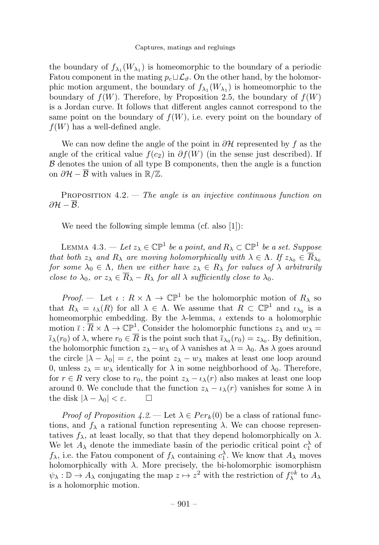the boundary of  $f_{\lambda_1}(W_{\lambda_1})$  is homeomorphic to the boundary of a periodic Fatou component in the mating  $p_c \sqcup \mathcal{L}_{\vartheta}$ . On the other hand, by the holomorphic motion argument, the boundary of  $f_{\lambda_1}(W_{\lambda_1})$  is homeomorphic to the boundary of  $f(W)$ . Therefore, by Proposition 2.5, the boundary of  $f(W)$ is a Jordan curve. It follows that different angles cannot correspond to the same point on the boundary of  $f(W)$ , i.e. every point on the boundary of  $f(W)$  has a well-defined angle.

We can now define the angle of the point in  $\partial \mathcal{H}$  represented by f as the angle of the critical value  $f(c_2)$  in  $\partial f(W)$  (in the sense just described). If  $\beta$  denotes the union of all type B components, then the angle is a function on  $\partial \mathcal{H} - \overline{\mathcal{B}}$  with values in  $\mathbb{R}/\mathbb{Z}$ .

PROPOSITION  $4.2$ . — The angle is an injective continuous function on  $\partial \mathcal{H} - \overline{\mathcal{B}}.$ 

We need the following simple lemma (cf. also [1]):

LEMMA 4.3. — Let  $z_{\lambda} \in \mathbb{CP}^1$  be a point, and  $R_{\lambda} \subset \mathbb{CP}^1$  be a set. Suppose that both  $z_{\lambda}$  and  $R_{\lambda}$  are moving holomorphically with  $\lambda \in \Lambda$ . If  $z_{\lambda_0} \in \overline{R}_{\lambda_0}$ for some  $\lambda_0 \in \Lambda$ , then we either have  $z_{\lambda} \in R_{\lambda}$  for values of  $\lambda$  arbitrarily close to  $\lambda_0$ , or  $z_\lambda \in \overline{R}_\lambda - R_\lambda$  for all  $\lambda$  sufficiently close to  $\lambda_0$ .

*Proof.* — Let  $\iota : R \times \Lambda \to \mathbb{CP}^1$  be the holomorphic motion of  $R_\lambda$  so that  $R_{\lambda} = \iota_{\lambda}(R)$  for all  $\lambda \in \Lambda$ . We assume that  $R \subset \mathbb{CP}^1$  and  $\iota_{\lambda_0}$  is a homeomorphic embedding. By the  $\lambda$ -lemma,  $\iota$  extends to a holomorphic motion  $\bar{\iota} : \bar{R} \times \Lambda \to \mathbb{CP}^1$ . Consider the holomorphic functions  $z_{\lambda}$  and  $w_{\lambda} =$  $\overline{\iota}_{\lambda}(r_0)$  of  $\lambda$ , where  $r_0 \in \overline{R}$  is the point such that  $\overline{\iota}_{\lambda_0}(r_0) = z_{\lambda_0}$ . By definition, the holomorphic function  $z_{\lambda} - w_{\lambda}$  of  $\lambda$  vanishes at  $\lambda = \lambda_0$ . As  $\lambda$  goes around the circle  $|\lambda - \lambda_0| = \varepsilon$ , the point  $z_{\lambda} - w_{\lambda}$  makes at least one loop around 0, unless  $z_{\lambda} = w_{\lambda}$  identically for  $\lambda$  in some neighborhood of  $\lambda_0$ . Therefore, for  $r \in R$  very close to  $r_0$ , the point  $z_{\lambda} - \iota_{\lambda}(r)$  also makes at least one loop around 0. We conclude that the function  $z_{\lambda} - \iota_{\lambda}(r)$  vanishes for some  $\lambda$  in the disk  $|\lambda - \lambda_0| < \varepsilon$ . the disk  $|\lambda - \lambda_0| < \varepsilon$ .

*Proof of Proposition 4.2.* — Let  $\lambda \in Per_k(0)$  be a class of rational functions, and  $f_{\lambda}$  a rational function representing  $\lambda$ . We can choose representatives  $f_{\lambda}$ , at least locally, so that that they depend holomorphically on  $\lambda$ . We let  $A_{\lambda}$  denote the immediate basin of the periodic critical point  $c_1^{\lambda}$  of  $f_{\lambda}$ , i.e. the Fatou component of  $f_{\lambda}$  containing  $c_1^{\lambda}$ . We know that  $A_{\lambda}$  moves holomorphically with  $\lambda$ . More precisely, the bi-holomorphic isomorphism  $\psi_{\lambda} : \mathbb{D} \to A_{\lambda}$  conjugating the map  $z \mapsto z^2$  with the restriction of  $f_{\lambda}^{\circ k}$  to  $A_{\lambda}$ is a holomorphic motion.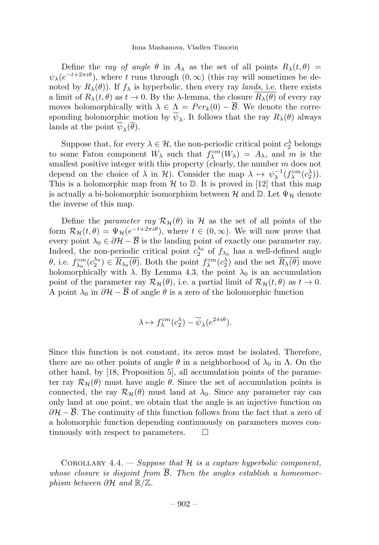#### Inna Mashanova, Vladlen Timorin

Define the ray of angle  $\theta$  in  $A_{\lambda}$  as the set of all points  $R_{\lambda}(t, \theta)$  =  $\psi_{\lambda}(e^{-t+2\pi i\theta})$ , where t runs through  $(0,\infty)$  (this ray will sometimes be denoted by  $R_{\lambda}(\theta)$ . If  $f_{\lambda}$  is hyperbolic, then every ray *lands*, i.e. there exists a limit of  $R_\lambda(t, \theta)$  as  $t \to 0$ . By the  $\lambda$ -lemma, the closure  $R_\lambda(\theta)$  of every ray moves holomorphically with  $\lambda \in \Lambda = Per_k(0) - \overline{\mathcal{B}}$ . We denote the corresponding holomorphic motion by  $\overline{\psi}_{\lambda}$ . It follows that the ray  $R_{\lambda}(\theta)$  always lands at the point  $\overline{\psi}_{\lambda}(\overline{\theta})$ .

Suppose that, for every  $\lambda \in \mathcal{H}$ , the non-periodic critical point  $c_2^{\lambda}$  belongs to some Fatou component  $W_{\lambda}$  such that  $f_{\lambda}^{\circ m}(W_{\lambda}) = A_{\lambda}$ , and m is the smallest positive integer with this property (clearly, the number  $m$  does not depend on the choice of  $\lambda$  in  $\mathcal{H}$ ). Consider the map  $\lambda \mapsto \psi_{\lambda}^{-1}(f_{\lambda}^{\circ m}(c_2^{\lambda}))$ . This is a holomorphic map from  $\mathcal H$  to  $\mathbb D$ . It is proved in [12] that this map is actually a bi-holomorphic isomorphism between  $\mathcal H$  and  $\mathbb D$ . Let  $\Psi_{\mathcal H}$  denote the inverse of this map.

Define the parameter ray  $\mathcal{R}_{\mathcal{H}}(\theta)$  in H as the set of all points of the form  $\mathcal{R}_{\mathcal{H}}(t, \theta) = \Psi_{\mathcal{H}}(e^{-t+2\pi i\theta}),$  where  $t \in (0, \infty)$ . We will now prove that every point  $\lambda_0 \in \partial \mathcal{H} - \overline{\mathcal{B}}$  is the landing point of exactly one parameter ray. Indeed, the non-periodic critical point  $c_2^{\lambda_0}$  of  $f_{\lambda_0}$  has a well-defined angle  $\theta$ , i.e.  $f_{\lambda_0}^{\circ m}(c_2^{\lambda_0}) \in \overline{R_{\lambda_0}(\theta)}$ . Both the point  $f_{\lambda}^{\circ m}(c_2^{\lambda})$  and the set  $\overline{R_{\lambda}(\theta)}$  move holomorphically with  $\lambda$ . By Lemma 4.3, the point  $\lambda_0$  is an accumulation point of the parameter ray  $\mathcal{R}_{\mathcal{H}}(\theta)$ , i.e. a partial limit of  $\mathcal{R}_{\mathcal{H}}(t, \theta)$  as  $t \to 0$ . A point  $\lambda_0$  in  $\partial \mathcal{H} - \overline{\mathcal{B}}$  of angle  $\theta$  is a zero of the holomorphic function

$$
\lambda \mapsto f_{\lambda}^{\circ m}(c_2^{\lambda}) - \overline{\psi}_{\lambda}(e^{2\pi i \theta}).
$$

Since this function is not constant, its zeros must be isolated. Therefore, there are no other points of angle  $\theta$  in a neighborhood of  $\lambda_0$  in  $\Lambda$ . On the other hand, by [18, Proposition 5], all accumulation points of the parameter ray  $\mathcal{R}_{\mathcal{H}}(\theta)$  must have angle  $\theta$ . Since the set of accumulation points is connected, the ray  $\mathcal{R}_{\mathcal{H}}(\theta)$  must land at  $\lambda_0$ . Since any parameter ray can only land at one point, we obtain that the angle is an injective function on  $\partial \mathcal{H} - \mathcal{B}$ . The continuity of this function follows from the fact that a zero of a holomorphic function depending continuously on parameters moves continuously with respect to parameters.  $\square$ 

COROLLARY 4.4. — Suppose that  $H$  is a capture hyperbolic component, whose closure is disjoint from  $\overline{B}$ . Then the angles establish a homeomorphism between ∂H and R/Z.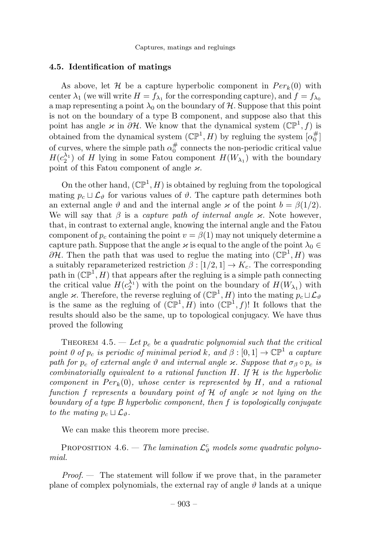#### 4.5. Identification of matings

As above, let H be a capture hyperbolic component in  $Per_k(0)$  with center  $\lambda_1$  (we will write  $H = f_{\lambda_1}$  for the corresponding capture), and  $f = f_{\lambda_0}$ a map representing a point  $\lambda_0$  on the boundary of H. Suppose that this point is not on the boundary of a type B component, and suppose also that this point has angle  $\kappa$  in  $\partial \mathcal{H}$ . We know that the dynamical system  $(\mathbb{CP}^1, f)$  is obtained from the dynamical system  $(\mathbb{CP}^1, H)$  by regluing the system  $\lbrack \alpha_0^{\#} \rbrack$ of curves, where the simple path  $\alpha_0^{\#}$  connects the non-periodic critical value  $H(c_2^{\lambda_1})$  of H lying in some Fatou component  $H(W_{\lambda_1})$  with the boundary point of this Fatou component of angle  $\varkappa$ .

On the other hand,  $(\mathbb{CP}^1, H)$  is obtained by regluing from the topological mating  $p_c \sqcup \mathcal{L}_{\vartheta}$  for various values of  $\vartheta$ . The capture path determines both an external angle  $\vartheta$  and and the internal angle  $\varkappa$  of the point  $b = \beta(1/2)$ . We will say that  $\beta$  is a *capture path of internal angle*  $\varkappa$ . Note however, that, in contrast to external angle, knowing the internal angle and the Fatou component of  $p_c$  containing the point  $v = \beta(1)$  may not uniquely determine a capture path. Suppose that the angle  $\varkappa$  is equal to the angle of the point  $\lambda_0 \in$  $\partial \mathcal{H}$ . Then the path that was used to reglue the mating into  $(\mathbb{CP}^1, H)$  was a suitably reparameterized restriction  $\beta : [1/2, 1] \rightarrow K_c$ . The corresponding path in  $(\mathbb{CP}^1, H)$  that appears after the regluing is a simple path connecting the critical value  $H(c_2^{\lambda_1})$  with the point on the boundary of  $H(W_{\lambda_1})$  with angle  $\varkappa$ . Therefore, the reverse regluing of  $(\mathbb{CP}^1, H)$  into the mating  $p_c \sqcup \mathcal{L}_{\vartheta}$ is the same as the regluing of  $(\mathbb{CP}^1, H)$  into  $(\mathbb{CP}^1, f)!$  It follows that the results should also be the same, up to topological conjugacy. We have thus proved the following

THEOREM 4.5. — Let  $p_c$  be a quadratic polynomial such that the critical point 0 of  $p_c$  is periodic of minimal period k, and  $\beta : [0, 1] \to \mathbb{CP}^1$  a capture path for  $p_c$  of external angle  $\vartheta$  and internal angle  $\varkappa$ . Suppose that  $\sigma_\beta \circ p_c$  is combinatorially equivalent to a rational function  $H$ . If  $H$  is the hyperbolic component in  $Per_k(0)$ , whose center is represented by H, and a rational function f represents a boundary point of H of angle  $\varkappa$  not lying on the boundary of a type B hyperbolic component, then f is topologically conjugate to the mating  $p_c \sqcup \mathcal{L}_{\vartheta}$ .

We can make this theorem more precise.

PROPOSITION 4.6. — The lamination  $\mathcal{L}^c_{\vartheta}$  models some quadratic polynomial.

*Proof.*  $\qquad$  The statement will follow if we prove that, in the parameter plane of complex polynomials, the external ray of angle  $\vartheta$  lands at a unique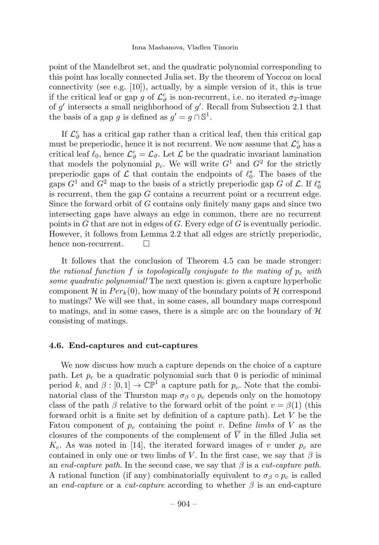point of the Mandelbrot set, and the quadratic polynomial corresponding to this point has locally connected Julia set. By the theorem of Yoccoz on local connectivity (see e.g.  $[10]$ ), actually, by a simple version of it, this is true if the critical leaf or gap g of  $\mathcal{L}_{\vartheta}^c$  is non-recurrent, i.e. no iterated  $\sigma_2$ -image of  $g'$  intersects a small neighborhood of  $g'$ . Recall from Subsection 2.1 that the basis of a gap q is defined as  $q' = q \cap \mathbb{S}^1$ .

If  $\mathcal{L}_{\vartheta}^c$  has a critical gap rather than a critical leaf, then this critical gap must be preperiodic, hence it is not recurrent. We now assume that  $\mathcal{L}_{\vartheta}^c$  has a critical leaf  $\ell_0$ , hence  $\mathcal{L}_{\vartheta}^c = \mathcal{L}_{\vartheta}$ . Let  $\mathcal L$  be the quadratic invariant lamination that models the polynomial  $p_c$ . We will write  $G<sup>1</sup>$  and  $G<sup>2</sup>$  for the strictly preperiodic gaps of  $\mathcal L$  that contain the endpoints of  $\ell_0^*$ . The bases of the gaps  $G^1$  and  $G^2$  map to the basis of a strictly preperiodic gap G of  $\mathcal{L}$ . If  $\ell_0^*$ is recurrent, then the gap  $G$  contains a recurrent point or a recurrent edge. Since the forward orbit of G contains only finitely many gaps and since two intersecting gaps have always an edge in common, there are no recurrent points in G that are not in edges of G. Every edge of G is eventually periodic. However, it follows from Lemma 2.2 that all edges are strictly preperiodic, hence non-recurrent.  $\square$ 

It follows that the conclusion of Theorem 4.5 can be made stronger: the rational function f is topologically conjugate to the mating of  $p_c$  with some quadratic polynomial! The next question is: given a capture hyperbolic component H in  $Per_k(0)$ , how many of the boundary points of H correspond to matings? We will see that, in some cases, all boundary maps correspond to matings, and in some cases, there is a simple arc on the boundary of  $H$ consisting of matings.

#### 4.6. End-captures and cut-captures

We now discuss how much a capture depends on the choice of a capture path. Let  $p_c$  be a quadratic polynomial such that 0 is periodic of minimal period k, and  $\beta : [0, 1] \to \mathbb{CP}^1$  a capture path for  $p_c$ . Note that the combinatorial class of the Thurston map  $\sigma_{\beta} \circ p_c$  depends only on the homotopy class of the path  $\beta$  relative to the forward orbit of the point  $v = \beta(1)$  (this forward orbit is a finite set by definition of a capture path). Let V be the Fatou component of  $p_c$  containing the point v. Define limbs of V as the closures of the components of the complement of  $\overline{V}$  in the filled Julia set  $K_c$ . As was noted in [14], the iterated forward images of v under  $p_c$  are contained in only one or two limbs of V. In the first case, we say that  $\beta$  is an end-capture path. In the second case, we say that  $\beta$  is a cut-capture path. A rational function (if any) combinatorially equivalent to  $\sigma_{\beta} \circ p_c$  is called an end-capture or a cut-capture according to whether  $\beta$  is an end-capture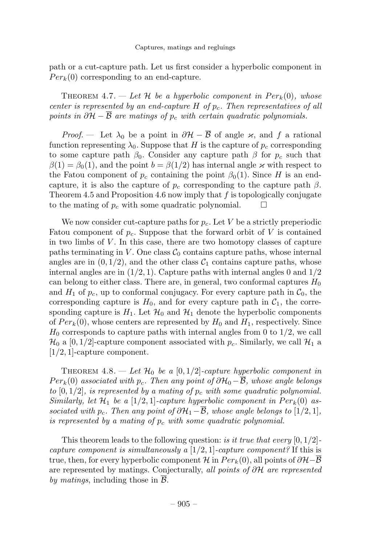path or a cut-capture path. Let us first consider a hyperbolic component in  $Per_k(0)$  corresponding to an end-capture.

THEOREM 4.7. — Let H be a hyperbolic component in  $Per_k(0)$ , whose center is represented by an end-capture  $H$  of  $p_c$ . Then representatives of all points in  $\partial \mathcal{H} - \overline{\mathcal{B}}$  are matings of p<sub>c</sub> with certain quadratic polynomials.

*Proof.* — Let  $\lambda_0$  be a point in  $\partial \mathcal{H} - \overline{\mathcal{B}}$  of angle  $\varkappa$ , and f a rational function representing  $\lambda_0$ . Suppose that H is the capture of  $p_c$  corresponding to some capture path  $\beta_0$ . Consider any capture path  $\beta$  for  $p_c$  such that  $\beta(1) = \beta_0(1)$ , and the point  $b = \beta(1/2)$  has internal angle  $\varkappa$  with respect to the Fatou component of  $p_c$  containing the point  $\beta_0(1)$ . Since H is an endcapture, it is also the capture of  $p_c$  corresponding to the capture path  $\beta$ . Theorem 4.5 and Proposition 4.6 now imply that  $f$  is topologically conjugate to the mating of  $p_c$  with some quadratic polynomial.  $\Box$ 

We now consider cut-capture paths for  $p_c$ . Let V be a strictly preperiodic Fatou component of  $p_c$ . Suppose that the forward orbit of V is contained in two limbs of  $V$ . In this case, there are two homotopy classes of capture paths terminating in  $V$ . One class  $\mathcal{C}_0$  contains capture paths, whose internal angles are in  $(0, 1/2)$ , and the other class  $C_1$  contains capture paths, whose internal angles are in  $(1/2, 1)$ . Capture paths with internal angles 0 and  $1/2$ can belong to either class. There are, in general, two conformal captures  $H_0$ and  $H_1$  of  $p_c$ , up to conformal conjugacy. For every capture path in  $\mathcal{C}_0$ , the corresponding capture is  $H_0$ , and for every capture path in  $C_1$ , the corresponding capture is  $H_1$ . Let  $\mathcal{H}_0$  and  $\mathcal{H}_1$  denote the hyperbolic components of  $Per_k(0)$ , whose centers are represented by  $H_0$  and  $H_1$ , respectively. Since  $H_0$  corresponds to capture paths with internal angles from 0 to  $1/2$ , we call  $\mathcal{H}_0$  a [0, 1/2]-capture component associated with  $p_c$ . Similarly, we call  $\mathcal{H}_1$  a [1/2, 1]-capture component.

THEOREM 4.8. — Let  $\mathcal{H}_0$  be a [0, 1/2]-capture hyperbolic component in  $Per_k(0)$  associated with  $p_c$ . Then any point of  $\partial \mathcal{H}_0 - \overline{\mathcal{B}}$ , whose angle belongs to  $[0, 1/2]$ , is represented by a mating of  $p_c$  with some quadratic polynomial. Similarly, let  $\mathcal{H}_1$  be a [1/2,1]-capture hyperbolic component in  $Per_k(0)$  associated with p<sub>c</sub>. Then any point of  $\partial \mathcal{H}_1-\overline{\mathcal{B}}$ , whose angle belongs to [1/2, 1], is represented by a mating of  $p_c$  with some quadratic polynomial.

This theorem leads to the following question: is it true that every  $[0, 1/2]$ capture component is simultaneously a  $[1/2, 1]$ -capture component? If this is true, then, for every hyperbolic component H in  $Per_k(0)$ , all points of  $\partial \mathcal{H}-\mathcal{B}$ are represented by matings. Conjecturally, all points of  $\partial \mathcal{H}$  are represented by matings, including those in  $\mathcal{B}$ .